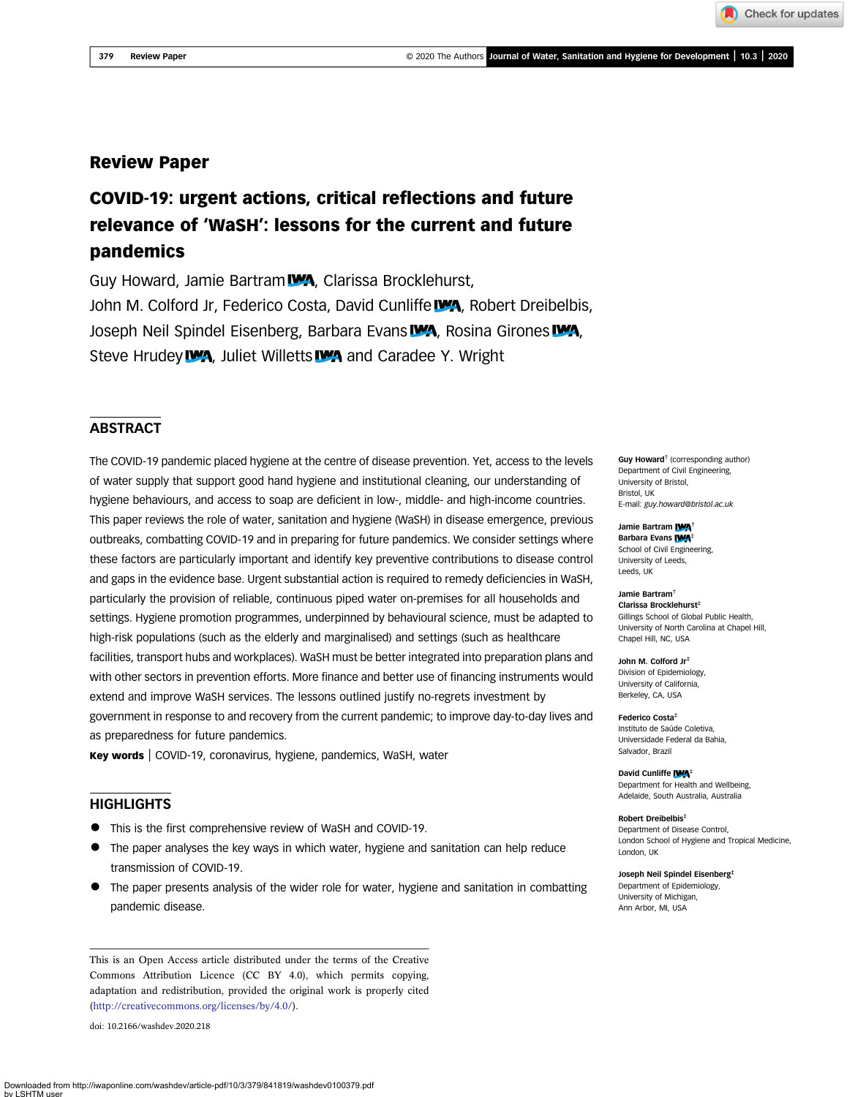Downloaded from http://iwaponline.com/washdev/article-pdf/10/3/379/841819/washdev0100379.pdf

## Review Paper

# COVID-19: urgent actions, critical reflections and future relevance of 'WaSH': lessons for the current and future pandemics

Guy Howard, Jamie Bartram **WA**, Clarissa Brocklehurst, John M. Colford Jr, Federico Costa, David Cunliffe **WA**, Robert Dreibelbis, Joseph Neil Spindel Eisenberg, Barbara Evans **WA**, Rosina Girones **WA**, Steve Hrudey **WA**, Juliet Willetts WA and Caradee Y. Wright

## **ABSTRACT**

The COVID-19 pandemic placed hygiene at the centre of disease prevention. Yet, access to the levels of water supply that support good hand hygiene and institutional cleaning, our understanding of hygiene behaviours, and access to soap are deficient in low-, middle- and high-income countries. This paper reviews the role of water, sanitation and hygiene (WaSH) in disease emergence, previous outbreaks, combatting COVID-19 and in preparing for future pandemics. We consider settings where these factors are particularly important and identify key preventive contributions to disease control and gaps in the evidence base. Urgent substantial action is required to remedy deficiencies in WaSH, particularly the provision of reliable, continuous piped water on-premises for all households and settings. Hygiene promotion programmes, underpinned by behavioural science, must be adapted to high-risk populations (such as the elderly and marginalised) and settings (such as healthcare facilities, transport hubs and workplaces). WaSH must be better integrated into preparation plans and with other sectors in prevention efforts. More finance and better use of financing instruments would extend and improve WaSH services. The lessons outlined justify no-regrets investment by government in response to and recovery from the current pandemic; to improve day-to-day lives and as preparedness for future pandemics.

Key words | COVID-19, coronavirus, hygiene, pandemics, WaSH, water

## **HIGHLIGHTS**

- This is the first comprehensive review of WaSH and COVID-19.
- The paper analyses the key ways in which water, hygiene and sanitation can help reduce transmission of COVID-19.
- The paper presents analysis of the wider role for water, hygiene and sanitation in combatting pandemic disease.

This is an Open Access article distributed under the terms of the Creative Commons Attribution Licence (CC BY 4.0), which permits copying, adaptation and redistribution, provided the original work is properly cited [\(http://creativecommons.org/licenses/by/4.0/](http://creativecommons.org/licenses/by/4.0/)).

doi: 10.2166/washdev.2020.218

SHTM us

Guy Howard† (corresponding author) Department of Civil Engineering, University of Bristol, Bristol, UK E-mail: [guy.howard@bristol.ac.uk](mailto:guy.howard@bristol.ac.uk)

Jamie Bartram **IWA** Barbara Evans IWA School of Civil Engineering, University of Leeds, Leeds, UK

Jamie Bartram† Clarissa Brocklehurst‡ Gillings School of Global Public Health, University of North Carolina at Chapel Hill, Chapel Hill, NC, USA

John M. Colford Jr‡ Division of Epidemiology, University of California, Berkeley, CA, USA

Federico Costa‡ Instituto de Saúde Coletiva, Universidade Federal da Bahia, Salvador, Brazil

David Cunliffe **IWA**<sup>‡</sup> Department for Health and Wellbeing, Adelaide, South Australia, Australia

Robert Dreibelbis‡ Department of Disease Control, London School of Hygiene and Tropical Medicine, London, UK

Joseph Neil Spindel Eisenberg‡ Department of Epidemiology, University of Michigan, Ann Arbor, MI, USA

Check for updates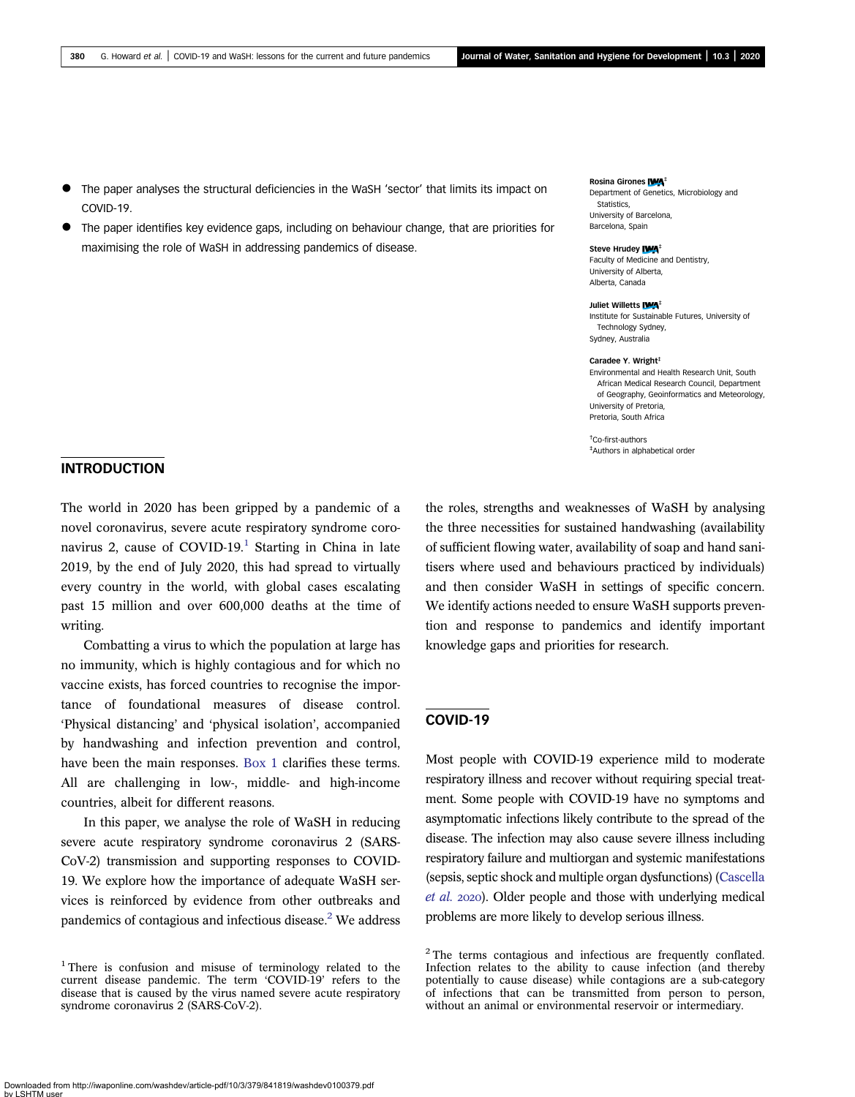- The paper analyses the structural deficiencies in the WaSH 'sector' that limits its impact on COVID-19.
- The paper identifies key evidence gaps, including on behaviour change, that are priorities for maximising the role of WaSH in addressing pandemics of disease.

Rosina Girones IWA<sup>+</sup> Department of Genetics, Microbiology and Statistics. University of Barcelona, Barcelona, Spain

#### Steve Hrudey IWA<sup>+</sup>

Faculty of Medicine and Dentistry, University of Alberta, Alberta, Canada

#### Juliet Willetts **IWA**<sup>‡</sup>

Institute for Sustainable Futures, University of Technology Sydney, Sydney, Australia

#### Caradee Y. Wright<sup>+</sup>

Environmental and Health Research Unit, South African Medical Research Council, Department of Geography, Geoinformatics and Meteorology, University of Pretoria, Pretoria, South Africa

† Co-first-authors ‡ Authors in alphabetical order

## INTRODUCTION

The world in 2020 has been gripped by a pandemic of a novel coronavirus, severe acute respiratory syndrome coronavirus 2, cause of  $COVID-19<sup>1</sup>$  $COVID-19<sup>1</sup>$  $COVID-19<sup>1</sup>$  Starting in China in late 2019, by the end of July 2020, this had spread to virtually every country in the world, with global cases escalating past 15 million and over 600,000 deaths at the time of writing.

Combatting a virus to which the population at large has no immunity, which is highly contagious and for which no vaccine exists, has forced countries to recognise the importance of foundational measures of disease control. 'Physical distancing' and 'physical isolation', accompanied by handwashing and infection prevention and control, have been the main responses. [Box 1](#page-2-0) clarifies these terms. All are challenging in low-, middle- and high-income countries, albeit for different reasons.

In this paper, we analyse the role of WaSH in reducing severe acute respiratory syndrome coronavirus 2 (SARS-CoV-2) transmission and supporting responses to COVID-19. We explore how the importance of adequate WaSH services is reinforced by evidence from other outbreaks and pandemics of contagious and infectious disease.<sup>2</sup> We address the roles, strengths and weaknesses of WaSH by analysing the three necessities for sustained handwashing (availability of sufficient flowing water, availability of soap and hand sanitisers where used and behaviours practiced by individuals) and then consider WaSH in settings of specific concern. We identify actions needed to ensure WaSH supports prevention and response to pandemics and identify important knowledge gaps and priorities for research.

## COVID-19

Most people with COVID-19 experience mild to moderate respiratory illness and recover without requiring special treatment. Some people with COVID-19 have no symptoms and asymptomatic infections likely contribute to the spread of the disease. The infection may also cause severe illness including respiratory failure and multiorgan and systemic manifestations (sepsis, septic shock and multiple organ dysfunctions) ([Cascella](#page-14-0) [et al.](#page-14-0) 2020). Older people and those with underlying medical problems are more likely to develop serious illness.

Downloaded from http://iwaponline.com/washdev/article-pdf/10/3/379/841819/washdev0100379.pdf SHTM us

<sup>1</sup> There is confusion and misuse of terminology related to the current disease pandemic. The term 'COVID-19' refers to the disease that is caused by the virus named severe acute respiratory syndrome coronavirus 2 (SARS-CoV-2).

<sup>&</sup>lt;sup>2</sup> The terms contagious and infectious are frequently conflated. Infection relates to the ability to cause infection (and thereby potentially to cause disease) while contagions are a sub-category of infections that can be transmitted from person to person, without an animal or environmental reservoir or intermediary.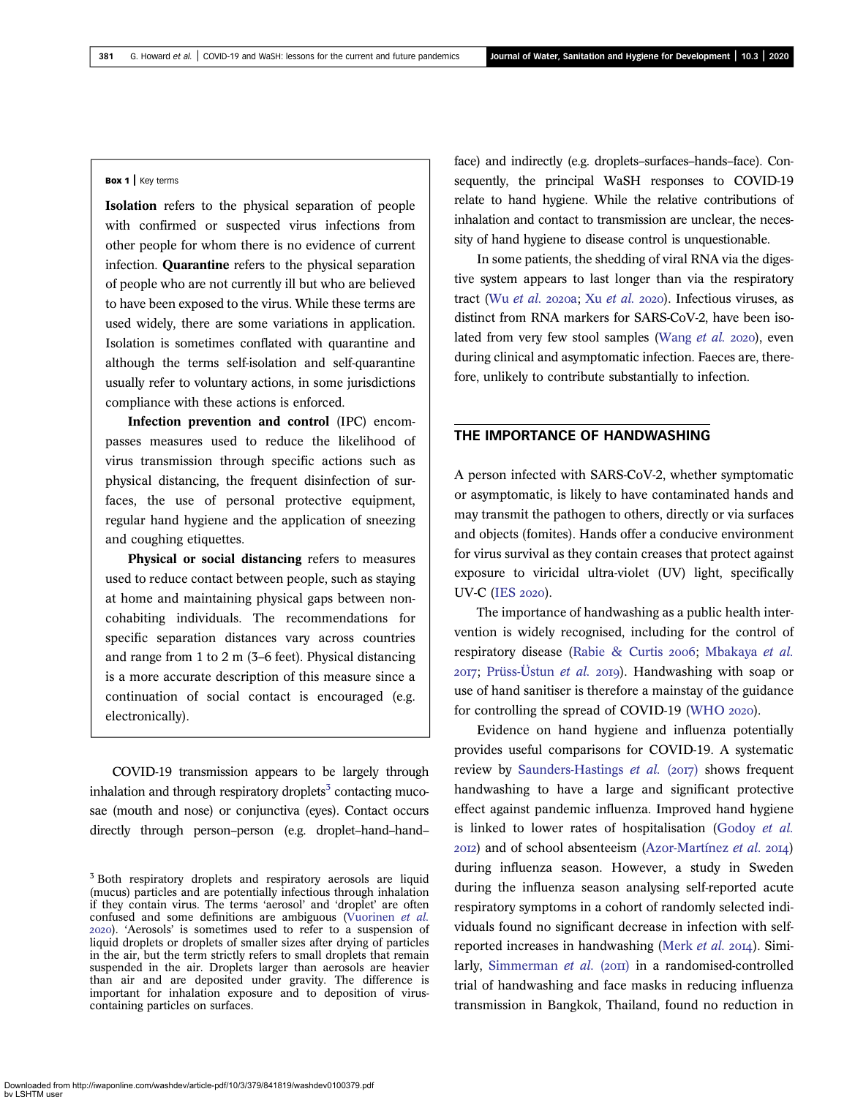#### <span id="page-2-0"></span>Box 1 | Key terms

Isolation refers to the physical separation of people with confirmed or suspected virus infections from other people for whom there is no evidence of current infection. Quarantine refers to the physical separation of people who are not currently ill but who are believed to have been exposed to the virus. While these terms are used widely, there are some variations in application. Isolation is sometimes conflated with quarantine and although the terms self-isolation and self-quarantine usually refer to voluntary actions, in some jurisdictions compliance with these actions is enforced.

Infection prevention and control (IPC) encompasses measures used to reduce the likelihood of virus transmission through specific actions such as physical distancing, the frequent disinfection of surfaces, the use of personal protective equipment, regular hand hygiene and the application of sneezing and coughing etiquettes.

Physical or social distancing refers to measures used to reduce contact between people, such as staying at home and maintaining physical gaps between noncohabiting individuals. The recommendations for specific separation distances vary across countries and range from 1 to 2 m (3–6 feet). Physical distancing is a more accurate description of this measure since a continuation of social contact is encouraged (e.g. electronically).

COVID-19 transmission appears to be largely through inhalation and through respiratory droplets<sup>3</sup> contacting mucosae (mouth and nose) or conjunctiva (eyes). Contact occurs directly through person–person (e.g. droplet–hand–hand– face) and indirectly (e.g. droplets–surfaces–hands–face). Consequently, the principal WaSH responses to COVID-19 relate to hand hygiene. While the relative contributions of inhalation and contact to transmission are unclear, the necessity of hand hygiene to disease control is unquestionable.

In some patients, the shedding of viral RNA via the digestive system appears to last longer than via the respiratory tract (Wu [et al.](#page-17-0) 2020a; Xu et al. 2020). Infectious viruses, as distinct from RNA markers for SARS-CoV-2, have been iso-lated from very few stool samples ([Wang](#page-17-0)  $et$   $al.$  2020), even during clinical and asymptomatic infection. Faeces are, therefore, unlikely to contribute substantially to infection.

## THE IMPORTANCE OF HANDWASHING

A person infected with SARS-CoV-2, whether symptomatic or asymptomatic, is likely to have contaminated hands and may transmit the pathogen to others, directly or via surfaces and objects (fomites). Hands offer a conducive environment for virus survival as they contain creases that protect against exposure to viricidal ultra-violet (UV) light, specifically UV-C (IES 2020).

The importance of handwashing as a public health intervention is widely recognised, including for the control of respiratory disease [\(Rabie & Curtis](#page-16-0) 2006; [Mbakaya](#page-16-0) et al.  $2017$ ; [Prüss-Üstun](#page-16-0) et al.  $2019$ ). Handwashing with soap or use of hand sanitiser is therefore a mainstay of the guidance for controlling the spread of COVID-19 ([WHO](#page-17-0) 2020).

Evidence on hand hygiene and influenza potentially provides useful comparisons for COVID-19. A systematic review by [Saunders-Hastings](#page-17-0) *et al.* ( $2017$ ) shows frequent handwashing to have a large and significant protective effect against pandemic influenza. Improved hand hygiene is linked to lower rates of hospitalisation [\(Godoy](#page-14-0) et al.  $20I2$ ) and of school absenteeism ([Azor-Martínez](#page-13-0) et al.  $20I4$ ) during influenza season. However, a study in Sweden during the influenza season analysing self-reported acute respiratory symptoms in a cohort of randomly selected individuals found no significant decrease in infection with self-reported increases in handwashing [\(Merk](#page-16-0) *et al.* 2014). Simi-larly, [Simmerman](#page-17-0) et al.  $(20II)$  in a randomised-controlled trial of handwashing and face masks in reducing influenza transmission in Bangkok, Thailand, found no reduction in

<sup>&</sup>lt;sup>3</sup> Both respiratory droplets and respiratory aerosols are liquid (mucus) particles and are potentially infectious through inhalation if they contain virus. The terms 'aerosol' and 'droplet' are often confused and some definitions are ambiguous [\(Vuorinen](#page-17-0) et al. ). 'Aerosols' is sometimes used to refer to a suspension of liquid droplets or droplets of smaller sizes after drying of particles in the air, but the term strictly refers to small droplets that remain suspended in the air. Droplets larger than aerosols are heavier than air and are deposited under gravity. The difference is important for inhalation exposure and to deposition of viruscontaining particles on surfaces.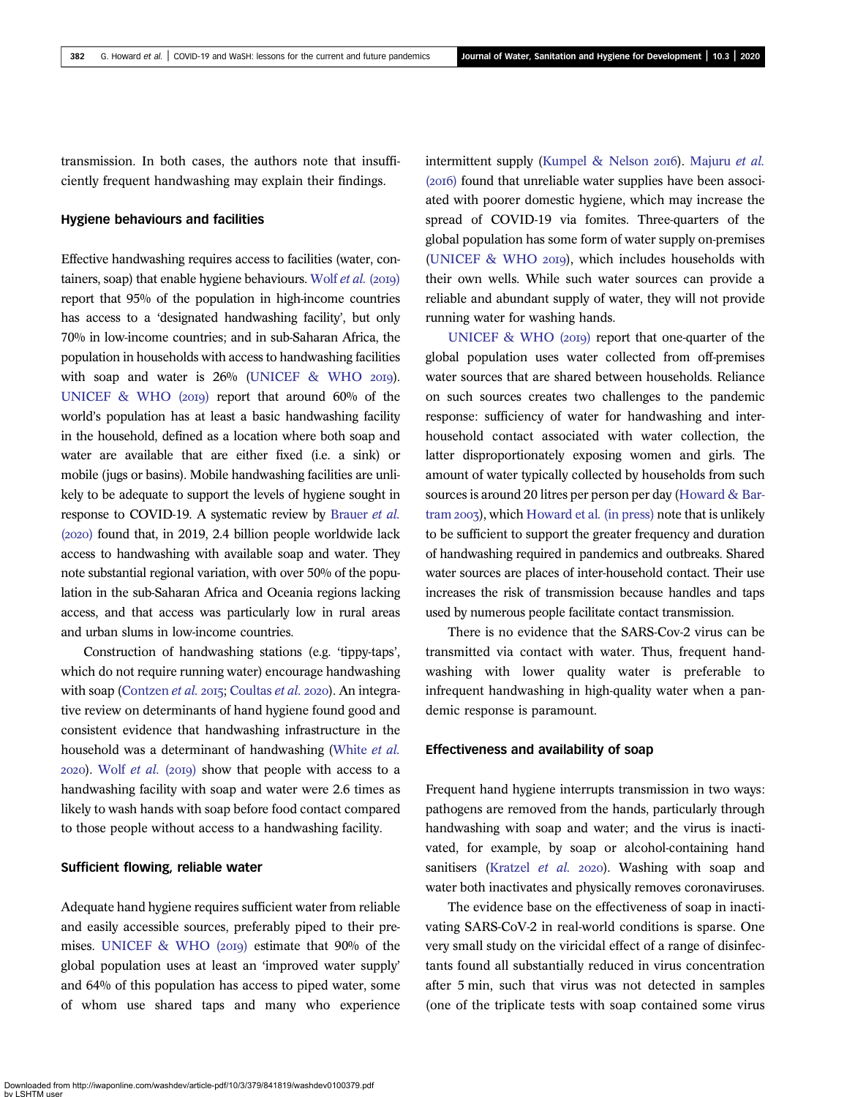transmission. In both cases, the authors note that insufficiently frequent handwashing may explain their findings.

#### Hygiene behaviours and facilities

Effective handwashing requires access to facilities (water, con-tainers, soap) that enable hygiene behaviours. [Wolf](#page-17-0)  $et$   $al.$  (2019) report that 95% of the population in high-income countries has access to a 'designated handwashing facility', but only 70% in low-income countries; and in sub-Saharan Africa, the population in households with access to handwashing facilities with soap and water is  $26\%$  [\(UNICEF & WHO](#page-17-0)  $2019$ ). UNICEF & WHO  $(20I9)$  report that around 60% of the world's population has at least a basic handwashing facility in the household, defined as a location where both soap and water are available that are either fixed (i.e. a sink) or mobile (jugs or basins). Mobile handwashing facilities are unlikely to be adequate to support the levels of hygiene sought in response to COVID-19. A systematic review by [Brauer](#page-14-0) et al.  $(2020)$  found that, in 2019, 2.4 billion people worldwide lack access to handwashing with available soap and water. They note substantial regional variation, with over 50% of the population in the sub-Saharan Africa and Oceania regions lacking access, and that access was particularly low in rural areas and urban slums in low-income countries.

Construction of handwashing stations (e.g. 'tippy-taps', which do not require running water) encourage handwashing with soap ([Contzen](#page-14-0) et al. 2015; [Coultas](#page-14-0) et al. 2020). An integrative review on determinants of hand hygiene found good and consistent evidence that handwashing infrastructure in the household was a determinant of handwashing [\(White](#page-17-0) et al.  $2020$ ). Wolf *[et al.](#page-17-0)* ( $2019$ ) show that people with access to a handwashing facility with soap and water were 2.6 times as likely to wash hands with soap before food contact compared to those people without access to a handwashing facility.

## Sufficient flowing, reliable water

Adequate hand hygiene requires sufficient water from reliable and easily accessible sources, preferably piped to their premises. UNICEF & WHO  $(20I9)$  estimate that 90% of the global population uses at least an 'improved water supply' and 64% of this population has access to piped water, some of whom use shared taps and many who experience intermittent supply ([Kumpel & Nelson](#page-15-0) 2016). [Majuru](#page-16-0) et al.  $(20I6)$  found that unreliable water supplies have been associated with poorer domestic hygiene, which may increase the spread of COVID-19 via fomites. Three-quarters of the global population has some form of water supply on-premises [\(UNICEF & WHO](#page-17-0) 2019), which includes households with their own wells. While such water sources can provide a reliable and abundant supply of water, they will not provide running water for washing hands.

[UNICEF & WHO \(](#page-17-0)2019) report that one-quarter of the global population uses water collected from off-premises water sources that are shared between households. Reliance on such sources creates two challenges to the pandemic response: sufficiency of water for handwashing and interhousehold contact associated with water collection, the latter disproportionately exposing women and girls. The amount of water typically collected by households from such sources is around 20 litres per person per day [\(Howard & Bar](#page-15-0)[tram](#page-15-0) 2003), which [Howard et al](#page-15-0). (in press) note that is unlikely to be sufficient to support the greater frequency and duration of handwashing required in pandemics and outbreaks. Shared water sources are places of inter-household contact. Their use increases the risk of transmission because handles and taps used by numerous people facilitate contact transmission.

There is no evidence that the SARS-Cov-2 virus can be transmitted via contact with water. Thus, frequent handwashing with lower quality water is preferable to infrequent handwashing in high-quality water when a pandemic response is paramount.

## Effectiveness and availability of soap

Frequent hand hygiene interrupts transmission in two ways: pathogens are removed from the hands, particularly through handwashing with soap and water; and the virus is inactivated, for example, by soap or alcohol-containing hand sanitisers [\(Kratzel](#page-15-0) et al. 2020). Washing with soap and water both inactivates and physically removes coronaviruses.

The evidence base on the effectiveness of soap in inactivating SARS-CoV-2 in real-world conditions is sparse. One very small study on the viricidal effect of a range of disinfectants found all substantially reduced in virus concentration after 5 min, such that virus was not detected in samples (one of the triplicate tests with soap contained some virus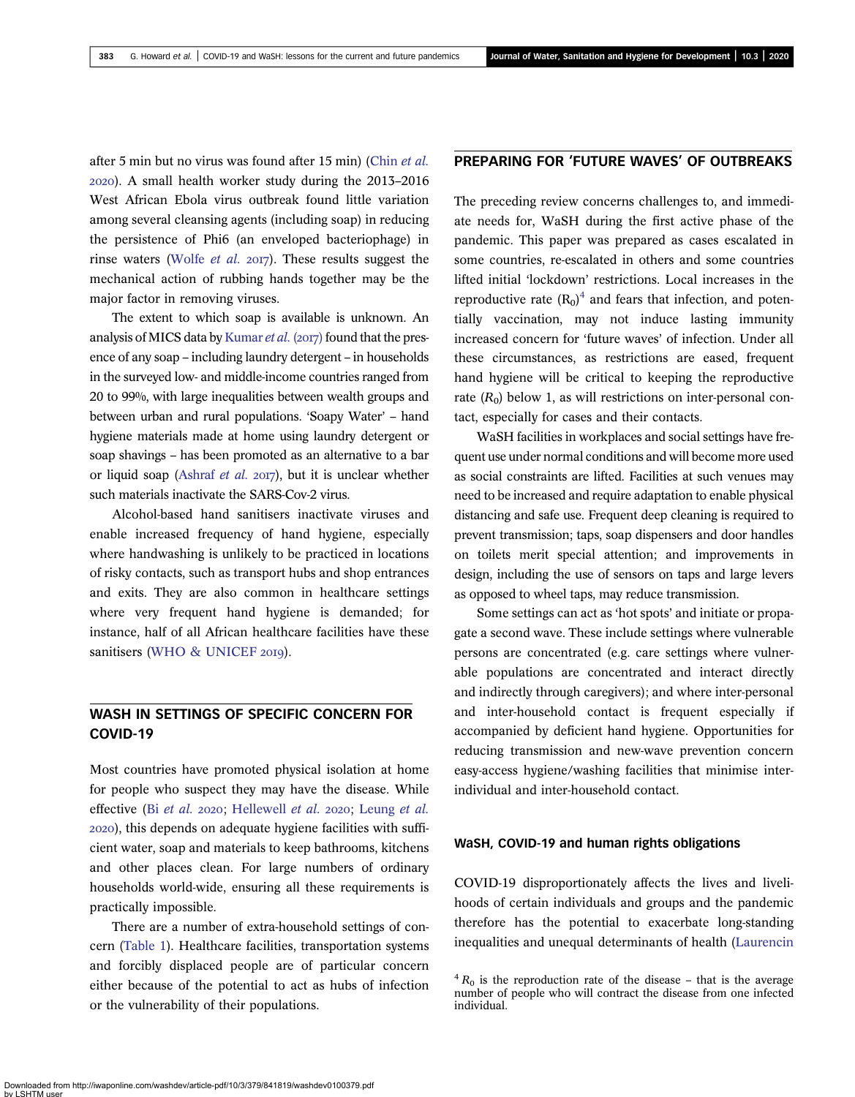after 5 min but no virus was found after 15 min) ([Chin](#page-14-0) et al. ). A small health worker study during the 2013–2016 West African Ebola virus outbreak found little variation among several cleansing agents (including soap) in reducing the persistence of Phi6 (an enveloped bacteriophage) in rinse waters ([Wolfe](#page-17-0) *et al.* 2017). These results suggest the mechanical action of rubbing hands together may be the major factor in removing viruses.

The extent to which soap is available is unknown. An analysis of MICS data by [Kumar](#page-15-0) et al. (2017) found that the presence of any soap – including laundry detergent – in households in the surveyed low- and middle-income countries ranged from 20 to 99%, with large inequalities between wealth groups and between urban and rural populations. 'Soapy Water' – hand hygiene materials made at home using laundry detergent or soap shavings – has been promoted as an alternative to a bar or liquid soap [\(Ashraf](#page-13-0) et al. 2017), but it is unclear whether such materials inactivate the SARS-Cov-2 virus.

Alcohol-based hand sanitisers inactivate viruses and enable increased frequency of hand hygiene, especially where handwashing is unlikely to be practiced in locations of risky contacts, such as transport hubs and shop entrances and exits. They are also common in healthcare settings where very frequent hand hygiene is demanded; for instance, half of all African healthcare facilities have these sanitisers ([WHO & UNICEF](#page-17-0) 2019).

## WASH IN SETTINGS OF SPECIFIC CONCERN FOR COVID-19

Most countries have promoted physical isolation at home for people who suspect they may have the disease. While effective (Bi [et al.](#page-13-0) 2020; [Hellewell](#page-15-0) et al. 2020; [Leung](#page-15-0) et al. ), this depends on adequate hygiene facilities with sufficient water, soap and materials to keep bathrooms, kitchens and other places clean. For large numbers of ordinary households world-wide, ensuring all these requirements is practically impossible.

There are a number of extra-household settings of concern [\(Table 1\)](#page-5-0). Healthcare facilities, transportation systems and forcibly displaced people are of particular concern either because of the potential to act as hubs of infection or the vulnerability of their populations.

## PREPARING FOR 'FUTURE WAVES' OF OUTBREAKS

The preceding review concerns challenges to, and immediate needs for, WaSH during the first active phase of the pandemic. This paper was prepared as cases escalated in some countries, re-escalated in others and some countries lifted initial 'lockdown' restrictions. Local increases in the reproductive rate  $(R_0)^4$  $(R_0)^4$  and fears that infection, and potentially vaccination, may not induce lasting immunity increased concern for 'future waves' of infection. Under all these circumstances, as restrictions are eased, frequent hand hygiene will be critical to keeping the reproductive rate  $(R_0)$  below 1, as will restrictions on inter-personal contact, especially for cases and their contacts.

WaSH facilities in workplaces and social settings have frequent use under normal conditions and will become more used as social constraints are lifted. Facilities at such venues may need to be increased and require adaptation to enable physical distancing and safe use. Frequent deep cleaning is required to prevent transmission; taps, soap dispensers and door handles on toilets merit special attention; and improvements in design, including the use of sensors on taps and large levers as opposed to wheel taps, may reduce transmission.

Some settings can act as 'hot spots' and initiate or propagate a second wave. These include settings where vulnerable persons are concentrated (e.g. care settings where vulnerable populations are concentrated and interact directly and indirectly through caregivers); and where inter-personal and inter-household contact is frequent especially if accompanied by deficient hand hygiene. Opportunities for reducing transmission and new-wave prevention concern easy-access hygiene/washing facilities that minimise interindividual and inter-household contact.

## WaSH, COVID-19 and human rights obligations

COVID-19 disproportionately affects the lives and livelihoods of certain individuals and groups and the pandemic therefore has the potential to exacerbate long-standing inequalities and unequal determinants of health [\(Laurencin](#page-15-0)

 ${}^{4}R_{0}$  is the reproduction rate of the disease – that is the average number of people who will contract the disease from one infected individual.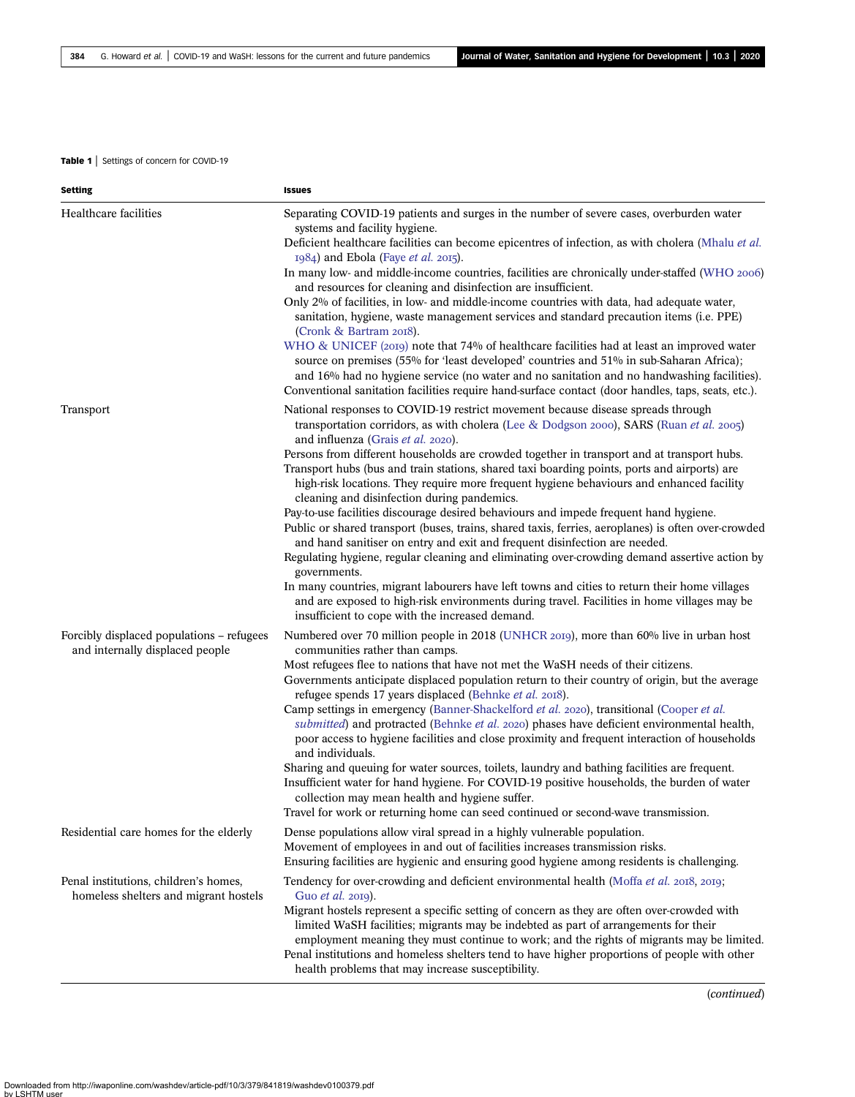### <span id="page-5-0"></span>Table 1 | Settings of concern for COVID-19

| <b>Setting</b>                                                                 | <b>Issues</b>                                                                                                                                                                                                                                                                                                                                                                                                                                                                                                                                                                                                                                                                                                                                                                                                                                                                                                                                   |
|--------------------------------------------------------------------------------|-------------------------------------------------------------------------------------------------------------------------------------------------------------------------------------------------------------------------------------------------------------------------------------------------------------------------------------------------------------------------------------------------------------------------------------------------------------------------------------------------------------------------------------------------------------------------------------------------------------------------------------------------------------------------------------------------------------------------------------------------------------------------------------------------------------------------------------------------------------------------------------------------------------------------------------------------|
| Healthcare facilities                                                          | Separating COVID-19 patients and surges in the number of severe cases, overburden water<br>systems and facility hygiene.<br>Deficient healthcare facilities can become epicentres of infection, as with cholera (Mhalu et al.<br>1984) and Ebola (Faye et al. 2015).<br>In many low- and middle-income countries, facilities are chronically under-staffed (WHO 2006)<br>and resources for cleaning and disinfection are insufficient.<br>Only 2% of facilities, in low- and middle-income countries with data, had adequate water,<br>sanitation, hygiene, waste management services and standard precaution items (i.e. PPE)<br>(Cronk & Bartram 2018).<br>WHO & UNICEF (2019) note that 74% of healthcare facilities had at least an improved water<br>source on premises (55% for 'least developed' countries and 51% in sub-Saharan Africa);<br>and 16% had no hygiene service (no water and no sanitation and no handwashing facilities). |
|                                                                                | Conventional sanitation facilities require hand-surface contact (door handles, taps, seats, etc.).                                                                                                                                                                                                                                                                                                                                                                                                                                                                                                                                                                                                                                                                                                                                                                                                                                              |
| <b>Transport</b>                                                               | National responses to COVID-19 restrict movement because disease spreads through<br>transportation corridors, as with cholera (Lee & Dodgson 2000), SARS (Ruan <i>et al.</i> 2005)<br>and influenza (Grais et al. 2020).<br>Persons from different households are crowded together in transport and at transport hubs.                                                                                                                                                                                                                                                                                                                                                                                                                                                                                                                                                                                                                          |
|                                                                                | Transport hubs (bus and train stations, shared taxi boarding points, ports and airports) are<br>high-risk locations. They require more frequent hygiene behaviours and enhanced facility<br>cleaning and disinfection during pandemics.<br>Pay-to-use facilities discourage desired behaviours and impede frequent hand hygiene.<br>Public or shared transport (buses, trains, shared taxis, ferries, aeroplanes) is often over-crowded<br>and hand sanitiser on entry and exit and frequent disinfection are needed.<br>Regulating hygiene, regular cleaning and eliminating over-crowding demand assertive action by<br>governments.<br>In many countries, migrant labourers have left towns and cities to return their home villages                                                                                                                                                                                                         |
|                                                                                | and are exposed to high-risk environments during travel. Facilities in home villages may be<br>insufficient to cope with the increased demand.                                                                                                                                                                                                                                                                                                                                                                                                                                                                                                                                                                                                                                                                                                                                                                                                  |
| Forcibly displaced populations - refugees<br>and internally displaced people   | Numbered over 70 million people in 2018 (UNHCR 2019), more than 60% live in urban host<br>communities rather than camps.<br>Most refugees flee to nations that have not met the WaSH needs of their citizens.<br>Governments anticipate displaced population return to their country of origin, but the average<br>refugee spends 17 years displaced (Behnke et al. 2018).<br>Camp settings in emergency (Banner-Shackelford et al. 2020), transitional (Cooper et al.                                                                                                                                                                                                                                                                                                                                                                                                                                                                          |
|                                                                                | submitted) and protracted (Behnke et al. 2020) phases have deficient environmental health,<br>poor access to hygiene facilities and close proximity and frequent interaction of households<br>and individuals.<br>Sharing and queuing for water sources, toilets, laundry and bathing facilities are frequent.<br>Insufficient water for hand hygiene. For COVID-19 positive households, the burden of water<br>collection may mean health and hygiene suffer.<br>Travel for work or returning home can seed continued or second-wave transmission.                                                                                                                                                                                                                                                                                                                                                                                             |
| Residential care homes for the elderly                                         | Dense populations allow viral spread in a highly vulnerable population.<br>Movement of employees in and out of facilities increases transmission risks.<br>Ensuring facilities are hygienic and ensuring good hygiene among residents is challenging.                                                                                                                                                                                                                                                                                                                                                                                                                                                                                                                                                                                                                                                                                           |
| Penal institutions, children's homes,<br>homeless shelters and migrant hostels | Tendency for over-crowding and deficient environmental health (Moffa et al. 2018, 2019;<br>Guo et al. 2019).<br>Migrant hostels represent a specific setting of concern as they are often over-crowded with<br>limited WaSH facilities; migrants may be indebted as part of arrangements for their<br>employment meaning they must continue to work; and the rights of migrants may be limited.<br>Penal institutions and homeless shelters tend to have higher proportions of people with other<br>health problems that may increase susceptibility.                                                                                                                                                                                                                                                                                                                                                                                           |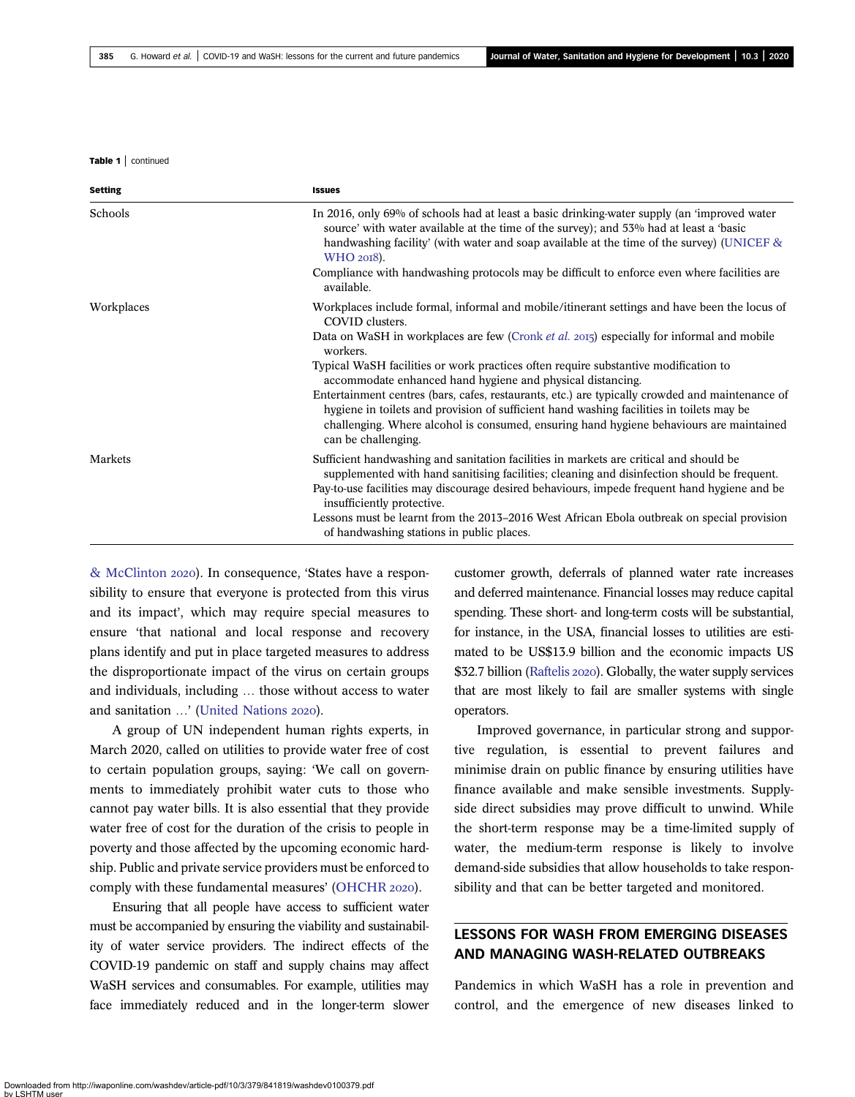Table 1 | continued

| <b>Setting</b> | <b>Issues</b>                                                                                                                                                                                                                                                                                                                                                                                                                                                                                                                                                                                                                                                                                          |
|----------------|--------------------------------------------------------------------------------------------------------------------------------------------------------------------------------------------------------------------------------------------------------------------------------------------------------------------------------------------------------------------------------------------------------------------------------------------------------------------------------------------------------------------------------------------------------------------------------------------------------------------------------------------------------------------------------------------------------|
| Schools        | In 2016, only 69% of schools had at least a basic drinking-water supply (an 'improved water<br>source' with water available at the time of the survey); and 53% had at least a 'basic<br>handwashing facility' (with water and soap available at the time of the survey) (UNICEF $\&$<br>WHO 2018).<br>Compliance with handwashing protocols may be difficult to enforce even where facilities are<br>available.                                                                                                                                                                                                                                                                                       |
| Workplaces     | Workplaces include formal, informal and mobile/itinerant settings and have been the locus of<br>COVID clusters.<br>Data on WaSH in workplaces are few (Cronk <i>et al. 2015</i> ) especially for informal and mobile<br>workers.<br>Typical WaSH facilities or work practices often require substantive modification to<br>accommodate enhanced hand hygiene and physical distancing.<br>Entertainment centres (bars, cafes, restaurants, etc.) are typically crowded and maintenance of<br>hygiene in toilets and provision of sufficient hand washing facilities in toilets may be<br>challenging. Where alcohol is consumed, ensuring hand hygiene behaviours are maintained<br>can be challenging. |
| Markets        | Sufficient handwashing and sanitation facilities in markets are critical and should be<br>supplemented with hand sanitising facilities; cleaning and disinfection should be frequent.<br>Pay-to-use facilities may discourage desired behaviours, impede frequent hand hygiene and be<br>insufficiently protective.<br>Lessons must be learnt from the 2013–2016 West African Ebola outbreak on special provision<br>of handwashing stations in public places.                                                                                                                                                                                                                                         |

[& McClinton](#page-15-0) 2020). In consequence, 'States have a responsibility to ensure that everyone is protected from this virus and its impact', which may require special measures to ensure 'that national and local response and recovery plans identify and put in place targeted measures to address the disproportionate impact of the virus on certain groups and individuals, including … those without access to water and sanitation ...' [\(United Nations](#page-17-0) 2020).

A group of UN independent human rights experts, in March 2020, called on utilities to provide water free of cost to certain population groups, saying: 'We call on governments to immediately prohibit water cuts to those who cannot pay water bills. It is also essential that they provide water free of cost for the duration of the crisis to people in poverty and those affected by the upcoming economic hardship. Public and private service providers must be enforced to comply with these fundamental measures' [\(OHCHR](#page-16-0) 2020).

Ensuring that all people have access to sufficient water must be accompanied by ensuring the viability and sustainability of water service providers. The indirect effects of the COVID-19 pandemic on staff and supply chains may affect WaSH services and consumables. For example, utilities may face immediately reduced and in the longer-term slower customer growth, deferrals of planned water rate increases and deferred maintenance. Financial losses may reduce capital spending. These short- and long-term costs will be substantial, for instance, in the USA, financial losses to utilities are estimated to be US\$13.9 billion and the economic impacts US \$32.7 billion [\(Raftelis](#page-16-0) 2020). Globally, the water supply services that are most likely to fail are smaller systems with single operators.

Improved governance, in particular strong and supportive regulation, is essential to prevent failures and minimise drain on public finance by ensuring utilities have finance available and make sensible investments. Supplyside direct subsidies may prove difficult to unwind. While the short-term response may be a time-limited supply of water, the medium-term response is likely to involve demand-side subsidies that allow households to take responsibility and that can be better targeted and monitored.

## LESSONS FOR WASH FROM EMERGING DISEASES AND MANAGING WASH-RELATED OUTBREAKS

Pandemics in which WaSH has a role in prevention and control, and the emergence of new diseases linked to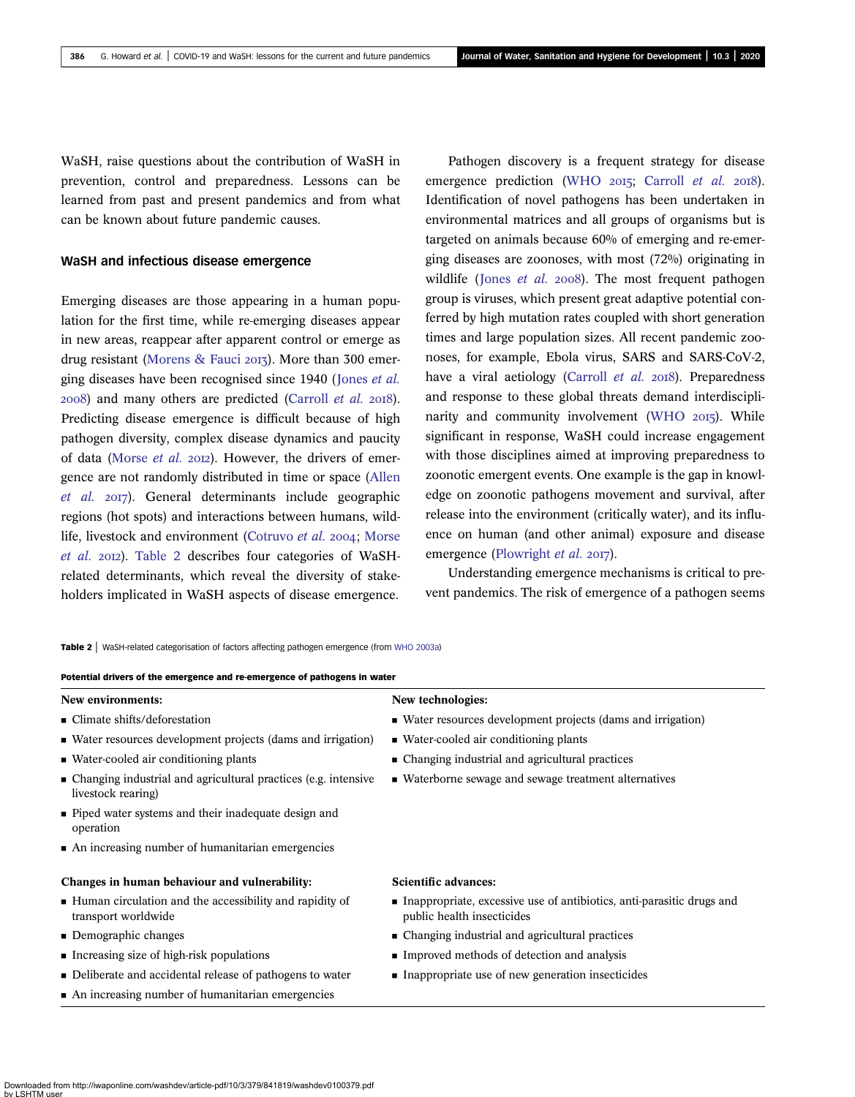WaSH, raise questions about the contribution of WaSH in prevention, control and preparedness. Lessons can be learned from past and present pandemics and from what can be known about future pandemic causes.

## WaSH and infectious disease emergence

Emerging diseases are those appearing in a human population for the first time, while re-emerging diseases appear in new areas, reappear after apparent control or emerge as drug resistant ([Morens & Fauci](#page-16-0) 2013). More than 300 emerging diseases have been recognised since 1940 ([Jones](#page-15-0) et al.  $2008$ ) and many others are predicted ([Carroll](#page-14-0) et al.  $2018$ ). Predicting disease emergence is difficult because of high pathogen diversity, complex disease dynamics and paucity of data ([Morse](#page-16-0) et al. 2012). However, the drivers of emergence are not randomly distributed in time or space ([Allen](#page-13-0) [et al.](#page-13-0) 2017). General determinants include geographic regions (hot spots) and interactions between humans, wild-life, livestock and environment [\(Cotruvo](#page-14-0) et al. 2004; [Morse](#page-16-0) [et al.](#page-16-0) 2012). Table 2 describes four categories of WaSHrelated determinants, which reveal the diversity of stakeholders implicated in WaSH aspects of disease emergence.

Pathogen discovery is a frequent strategy for disease emergence prediction ([WHO](#page-17-0)  $2015$ ; [Carroll](#page-14-0) et al.  $2018$ ). Identification of novel pathogens has been undertaken in environmental matrices and all groups of organisms but is targeted on animals because 60% of emerging and re-emerging diseases are zoonoses, with most (72%) originating in wildlife ([Jones](#page-15-0) et al.  $2008$ ). The most frequent pathogen group is viruses, which present great adaptive potential conferred by high mutation rates coupled with short generation times and large population sizes. All recent pandemic zoonoses, for example, Ebola virus, SARS and SARS-CoV-2, have a viral aetiology [\(Carroll](#page-14-0) et al. 2018). Preparedness and response to these global threats demand interdiscipli-narity and community involvement ([WHO](#page-17-0) 2015). While significant in response, WaSH could increase engagement with those disciplines aimed at improving preparedness to zoonotic emergent events. One example is the gap in knowledge on zoonotic pathogens movement and survival, after release into the environment (critically water), and its influence on human (and other animal) exposure and disease emergence [\(Plowright](#page-16-0) et al. 2017).

Understanding emergence mechanisms is critical to prevent pandemics. The risk of emergence of a pathogen seems

Table 2 | WaSH-related categorisation of factors affecting pathogen emergence (from [WHO 2003a](#page-17-0))

#### Potential drivers of the emergence and re-emergence of pathogens in water

## New environments: New technologies:

- 
- Water resources development projects (dams and irrigation) Water-cooled air conditioning plants
- 
- Changing industrial and agricultural practices (e.g. intensive livestock rearing)
- Piped water systems and their inadequate design and operation
- An increasing number of humanitarian emergencies

#### Changes in human behaviour and vulnerability: Scientific advances:

- Human circulation and the accessibility and rapidity of transport worldwide
- 
- 
- Deliberate and accidental release of pathogens to water Inappropriate use of new generation insecticides
- $\blacksquare$  An increasing number of humanitarian emergencies

- Climate shifts/deforestation Water resources development projects (dams and irrigation)
	-
- Water-cooled air conditioning plants Changing industrial and agricultural practices
	- Waterborne sewage and sewage treatment alternatives

- Inappropriate, excessive use of antibiotics, anti-parasitic drugs and public health insecticides
- Demographic changes Changing industrial and agricultural practices
- Increasing size of high-risk populations Improved methods of detection and analysis
	-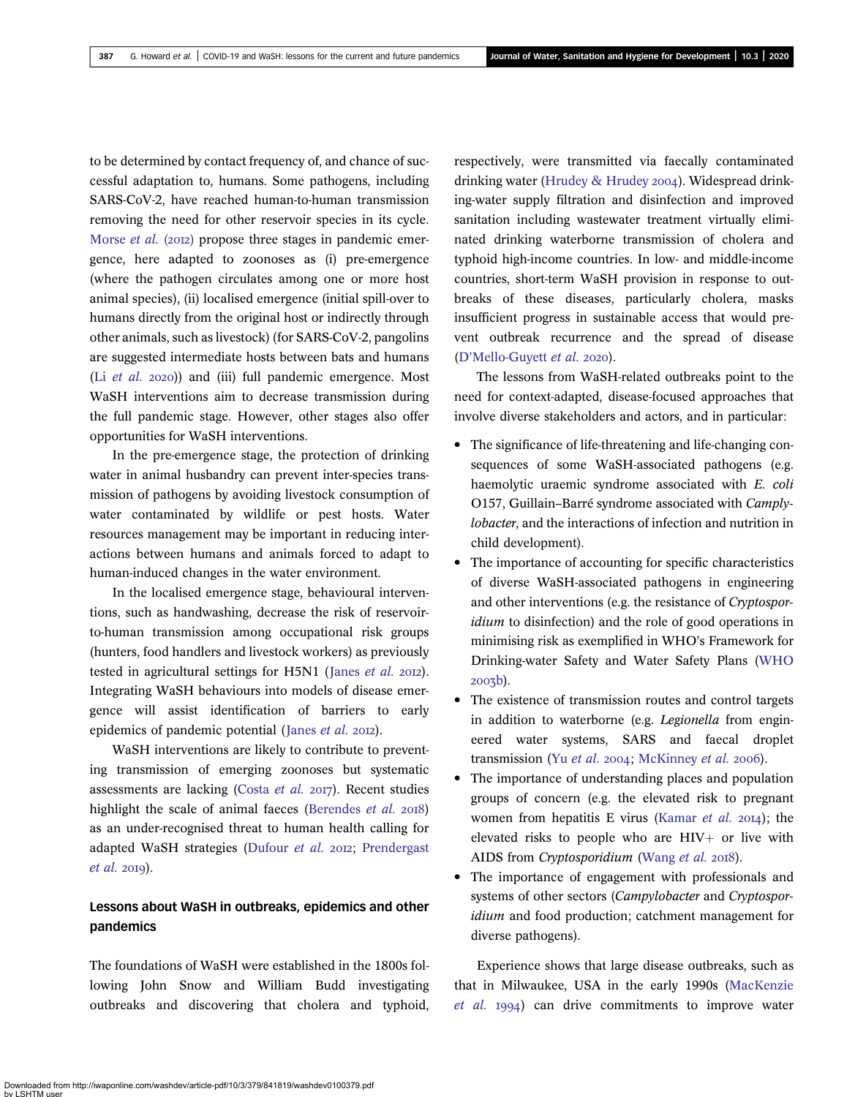to be determined by contact frequency of, and chance of successful adaptation to, humans. Some pathogens, including SARS-CoV-2, have reached human-to-human transmission removing the need for other reservoir species in its cycle. [Morse](#page-16-0) *et al.* (2012) propose three stages in pandemic emergence, here adapted to zoonoses as (i) pre-emergence (where the pathogen circulates among one or more host animal species), (ii) localised emergence (initial spill-over to humans directly from the original host or indirectly through other animals, such as livestock) (for SARS-CoV-2, pangolins are suggested intermediate hosts between bats and humans (Li  $et$  al. 2020)) and (iii) full pandemic emergence. Most WaSH interventions aim to decrease transmission during the full pandemic stage. However, other stages also offer opportunities for WaSH interventions.

In the pre-emergence stage, the protection of drinking water in animal husbandry can prevent inter-species transmission of pathogens by avoiding livestock consumption of water contaminated by wildlife or pest hosts. Water resources management may be important in reducing interactions between humans and animals forced to adapt to human-induced changes in the water environment.

In the localised emergence stage, behavioural interventions, such as handwashing, decrease the risk of reservoirto-human transmission among occupational risk groups (hunters, food handlers and livestock workers) as previously tested in agricultural settings for H5N1 ([Janes](#page-15-0) et al. 2012). Integrating WaSH behaviours into models of disease emergence will assist identification of barriers to early epidemics of pandemic potential ([Janes](#page-15-0)  $et$   $al.$  2012).

WaSH interventions are likely to contribute to preventing transmission of emerging zoonoses but systematic assessments are lacking [\(Costa](#page-14-0) et al.  $2017$ ). Recent studies highlight the scale of animal faeces ([Berendes](#page-13-0)  $et$   $al.$   $2018$ ) as an under-recognised threat to human health calling for adapted WaSH strategies ([Dufour](#page-14-0) et al. 2012; [Prendergast](#page-16-0)  $et$  al. 2019).

## Lessons about WaSH in outbreaks, epidemics and other pandemics

The foundations of WaSH were established in the 1800s following John Snow and William Budd investigating outbreaks and discovering that cholera and typhoid,

respectively, were transmitted via faecally contaminated drinking water ([Hrudey & Hrudey](#page-15-0) 2004). Widespread drinking-water supply filtration and disinfection and improved sanitation including wastewater treatment virtually eliminated drinking waterborne transmission of cholera and typhoid high-income countries. In low- and middle-income countries, short-term WaSH provision in response to outbreaks of these diseases, particularly cholera, masks insufficient progress in sustainable access that would prevent outbreak recurrence and the spread of disease (D'[Mello-Guyett](#page-14-0) et al. 2020).

The lessons from WaSH-related outbreaks point to the need for context-adapted, disease-focused approaches that involve diverse stakeholders and actors, and in particular:

- The significance of life-threatening and life-changing consequences of some WaSH-associated pathogens (e.g. haemolytic uraemic syndrome associated with E. coli O157, Guillain–Barré syndrome associated with Camplylobacter, and the interactions of infection and nutrition in child development).
- The importance of accounting for specific characteristics of diverse WaSH-associated pathogens in engineering and other interventions (e.g. the resistance of Cryptosporidium to disinfection) and the role of good operations in minimising risk as exemplified in WHO's Framework for Drinking-water Safety and Water Safety Plans [\(WHO](#page-17-0) 2003b).
- The existence of transmission routes and control targets in addition to waterborne (e.g. Legionella from engineered water systems, SARS and faecal droplet transmission (Yu [et al.](#page-17-0) 2004; [McKinney](#page-16-0) et al. 2006).
- The importance of understanding places and population groups of concern (e.g. the elevated risk to pregnant women from hepatitis E virus [\(Kamar](#page-15-0) et al.  $20I4$ ); the elevated risks to people who are  $HIV+$  or live with AIDS from Cryptosporidium ([Wang](#page-17-0) et al. 2018).
- The importance of engagement with professionals and systems of other sectors (Campylobacter and Cryptosporidium and food production; catchment management for diverse pathogens).

Experience shows that large disease outbreaks, such as that in Milwaukee, USA in the early 1990s [\(MacKenzie](#page-15-0)  $et$   $al.$  1994) can drive commitments to improve water

Downloaded from http://iwaponline.com/washdev/article-pdf/10/3/379/841819/washdev0100379.pdf by LSHTM user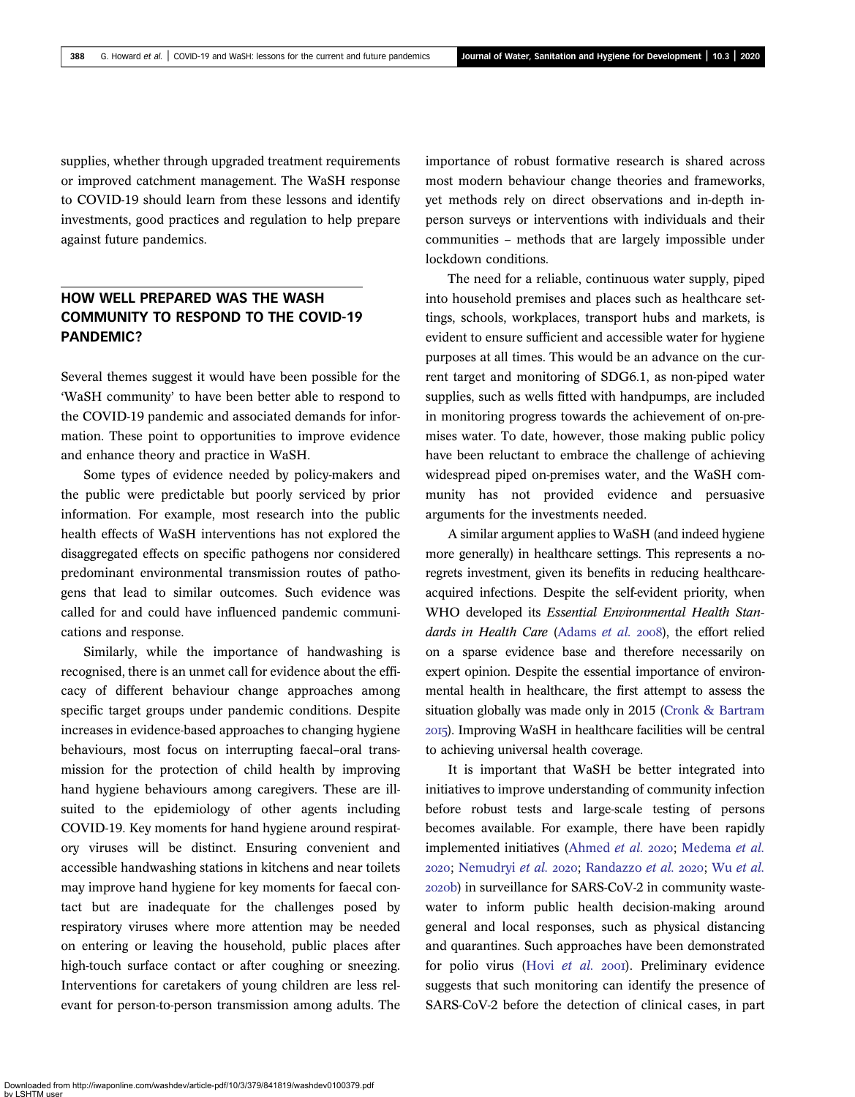supplies, whether through upgraded treatment requirements or improved catchment management. The WaSH response to COVID-19 should learn from these lessons and identify investments, good practices and regulation to help prepare against future pandemics.

## HOW WELL PREPARED WAS THE WASH COMMUNITY TO RESPOND TO THE COVID-19 PANDEMIC?

Several themes suggest it would have been possible for the 'WaSH community' to have been better able to respond to the COVID-19 pandemic and associated demands for information. These point to opportunities to improve evidence and enhance theory and practice in WaSH.

Some types of evidence needed by policy-makers and the public were predictable but poorly serviced by prior information. For example, most research into the public health effects of WaSH interventions has not explored the disaggregated effects on specific pathogens nor considered predominant environmental transmission routes of pathogens that lead to similar outcomes. Such evidence was called for and could have influenced pandemic communications and response.

Similarly, while the importance of handwashing is recognised, there is an unmet call for evidence about the efficacy of different behaviour change approaches among specific target groups under pandemic conditions. Despite increases in evidence-based approaches to changing hygiene behaviours, most focus on interrupting faecal–oral transmission for the protection of child health by improving hand hygiene behaviours among caregivers. These are illsuited to the epidemiology of other agents including COVID-19. Key moments for hand hygiene around respiratory viruses will be distinct. Ensuring convenient and accessible handwashing stations in kitchens and near toilets may improve hand hygiene for key moments for faecal contact but are inadequate for the challenges posed by respiratory viruses where more attention may be needed on entering or leaving the household, public places after high-touch surface contact or after coughing or sneezing. Interventions for caretakers of young children are less relevant for person-to-person transmission among adults. The importance of robust formative research is shared across most modern behaviour change theories and frameworks, yet methods rely on direct observations and in-depth inperson surveys or interventions with individuals and their communities – methods that are largely impossible under lockdown conditions.

The need for a reliable, continuous water supply, piped into household premises and places such as healthcare settings, schools, workplaces, transport hubs and markets, is evident to ensure sufficient and accessible water for hygiene purposes at all times. This would be an advance on the current target and monitoring of SDG6.1, as non-piped water supplies, such as wells fitted with handpumps, are included in monitoring progress towards the achievement of on-premises water. To date, however, those making public policy have been reluctant to embrace the challenge of achieving widespread piped on-premises water, and the WaSH community has not provided evidence and persuasive arguments for the investments needed.

A similar argument applies to WaSH (and indeed hygiene more generally) in healthcare settings. This represents a noregrets investment, given its benefits in reducing healthcareacquired infections. Despite the self-evident priority, when WHO developed its Essential Environmental Health Stan-dards in Health Care ([Adams](#page-13-0) et al. 2008), the effort relied on a sparse evidence base and therefore necessarily on expert opinion. Despite the essential importance of environmental health in healthcare, the first attempt to assess the situation globally was made only in 2015 [\(Cronk & Bartram](#page-14-0) ). Improving WaSH in healthcare facilities will be central to achieving universal health coverage.

It is important that WaSH be better integrated into initiatives to improve understanding of community infection before robust tests and large-scale testing of persons becomes available. For example, there have been rapidly implemented initiatives [\(Ahmed](#page-13-0) et al. 2020; [Medema](#page-16-0) et al. 2020; [Nemudryi](#page-16-0) et al. 2020; [Randazzo](#page-16-0) [et al.](#page-17-0) 2020; Wu et al. b) in surveillance for SARS-CoV-2 in community wastewater to inform public health decision-making around general and local responses, such as physical distancing and quarantines. Such approaches have been demonstrated for polio virus (Hovi [et al.](#page-15-0) 2001). Preliminary evidence suggests that such monitoring can identify the presence of SARS-CoV-2 before the detection of clinical cases, in part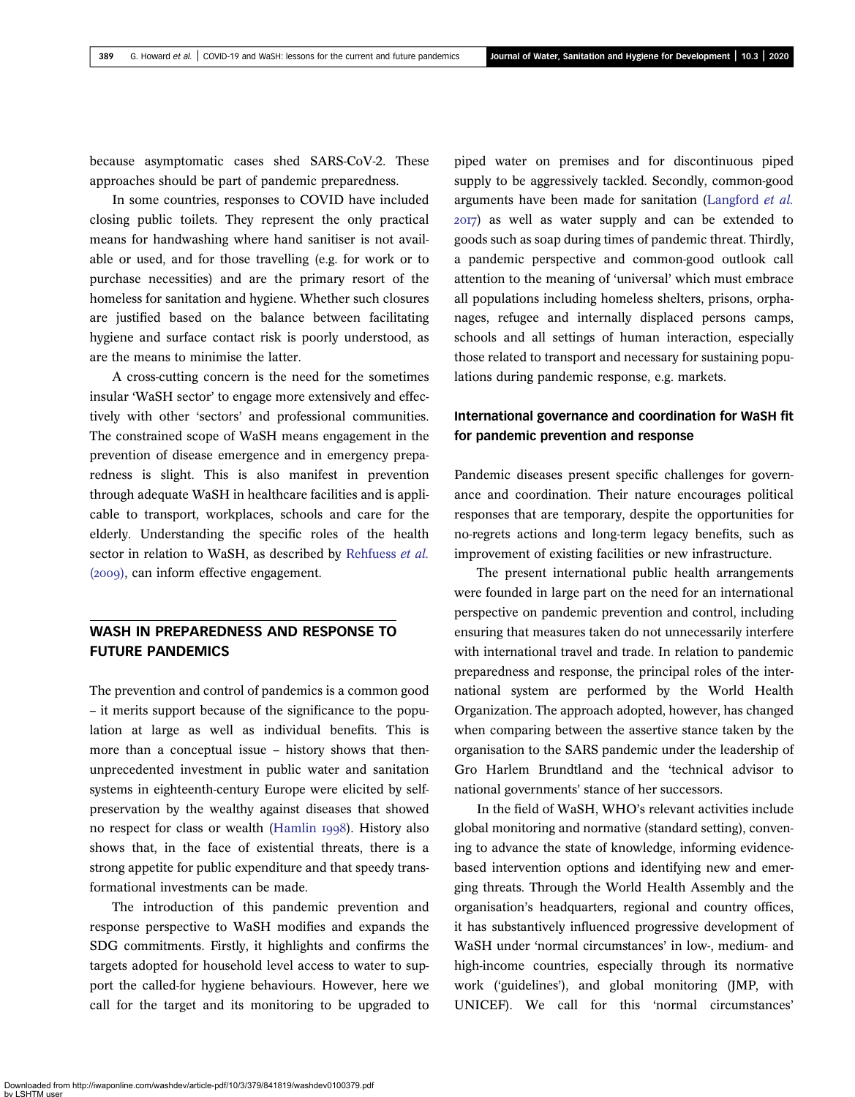because asymptomatic cases shed SARS-CoV-2. These approaches should be part of pandemic preparedness.

In some countries, responses to COVID have included closing public toilets. They represent the only practical means for handwashing where hand sanitiser is not available or used, and for those travelling (e.g. for work or to purchase necessities) and are the primary resort of the homeless for sanitation and hygiene. Whether such closures are justified based on the balance between facilitating hygiene and surface contact risk is poorly understood, as are the means to minimise the latter.

A cross-cutting concern is the need for the sometimes insular 'WaSH sector' to engage more extensively and effectively with other 'sectors' and professional communities. The constrained scope of WaSH means engagement in the prevention of disease emergence and in emergency preparedness is slight. This is also manifest in prevention through adequate WaSH in healthcare facilities and is applicable to transport, workplaces, schools and care for the elderly. Understanding the specific roles of the health sector in relation to WaSH, as described by [Rehfuess](#page-16-0) et al.  $(2009)$ , can inform effective engagement.

## WASH IN PREPAREDNESS AND RESPONSE TO FUTURE PANDEMICS

The prevention and control of pandemics is a common good – it merits support because of the significance to the population at large as well as individual benefits. This is more than a conceptual issue – history shows that thenunprecedented investment in public water and sanitation systems in eighteenth-century Europe were elicited by selfpreservation by the wealthy against diseases that showed no respect for class or wealth ([Hamlin](#page-15-0) 1998). History also shows that, in the face of existential threats, there is a strong appetite for public expenditure and that speedy transformational investments can be made.

The introduction of this pandemic prevention and response perspective to WaSH modifies and expands the SDG commitments. Firstly, it highlights and confirms the targets adopted for household level access to water to support the called-for hygiene behaviours. However, here we call for the target and its monitoring to be upgraded to

piped water on premises and for discontinuous piped supply to be aggressively tackled. Secondly, common-good arguments have been made for sanitation [\(Langford](#page-15-0) et al. ) as well as water supply and can be extended to goods such as soap during times of pandemic threat. Thirdly, a pandemic perspective and common-good outlook call attention to the meaning of 'universal' which must embrace all populations including homeless shelters, prisons, orphanages, refugee and internally displaced persons camps, schools and all settings of human interaction, especially those related to transport and necessary for sustaining populations during pandemic response, e.g. markets.

## International governance and coordination for WaSH fit for pandemic prevention and response

Pandemic diseases present specific challenges for governance and coordination. Their nature encourages political responses that are temporary, despite the opportunities for no-regrets actions and long-term legacy benefits, such as improvement of existing facilities or new infrastructure.

The present international public health arrangements were founded in large part on the need for an international perspective on pandemic prevention and control, including ensuring that measures taken do not unnecessarily interfere with international travel and trade. In relation to pandemic preparedness and response, the principal roles of the international system are performed by the World Health Organization. The approach adopted, however, has changed when comparing between the assertive stance taken by the organisation to the SARS pandemic under the leadership of Gro Harlem Brundtland and the 'technical advisor to national governments' stance of her successors.

In the field of WaSH, WHO's relevant activities include global monitoring and normative (standard setting), convening to advance the state of knowledge, informing evidencebased intervention options and identifying new and emerging threats. Through the World Health Assembly and the organisation's headquarters, regional and country offices, it has substantively influenced progressive development of WaSH under 'normal circumstances' in low-, medium- and high-income countries, especially through its normative work ('guidelines'), and global monitoring (JMP, with UNICEF). We call for this 'normal circumstances'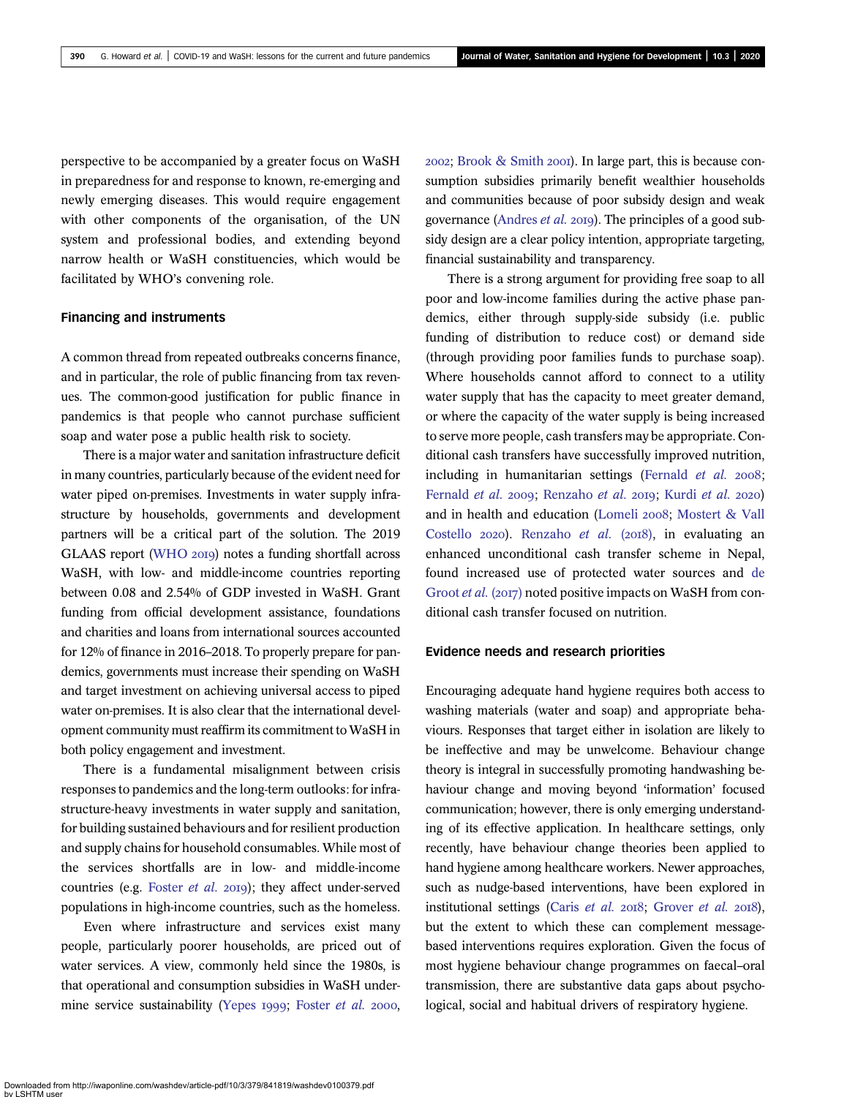perspective to be accompanied by a greater focus on WaSH in preparedness for and response to known, re-emerging and newly emerging diseases. This would require engagement with other components of the organisation, of the UN system and professional bodies, and extending beyond narrow health or WaSH constituencies, which would be facilitated by WHO's convening role.

## Financing and instruments

A common thread from repeated outbreaks concerns finance, and in particular, the role of public financing from tax revenues. The common-good justification for public finance in pandemics is that people who cannot purchase sufficient soap and water pose a public health risk to society.

There is a major water and sanitation infrastructure deficit in many countries, particularly because of the evident need for water piped on-premises. Investments in water supply infrastructure by households, governments and development partners will be a critical part of the solution. The 2019 GLAAS report [\(WHO](#page-17-0) 2019) notes a funding shortfall across WaSH, with low- and middle-income countries reporting between 0.08 and 2.54% of GDP invested in WaSH. Grant funding from official development assistance, foundations and charities and loans from international sources accounted for 12% of finance in 2016–2018. To properly prepare for pandemics, governments must increase their spending on WaSH and target investment on achieving universal access to piped water on-premises. It is also clear that the international development community must reaffirm its commitment to WaSH in both policy engagement and investment.

There is a fundamental misalignment between crisis responses to pandemics and the long-term outlooks: for infrastructure-heavy investments in water supply and sanitation, for building sustained behaviours and for resilient production and supply chains for household consumables. While most of the services shortfalls are in low- and middle-income countries (e.g. [Foster](#page-14-0)  $et$   $al.$   $20I9$ ); they affect under-served populations in high-income countries, such as the homeless.

Even where infrastructure and services exist many people, particularly poorer households, are priced out of water services. A view, commonly held since the 1980s, is that operational and consumption subsidies in WaSH under-mine service sustainability ([Yepes](#page-17-0) 1999; [Foster](#page-14-0) et al. 2000,  $2002$ ; [Brook & Smith](#page-14-0)  $2001$ . In large part, this is because consumption subsidies primarily benefit wealthier households and communities because of poor subsidy design and weak governance ([Andres](#page-13-0) *et al.* 2019). The principles of a good subsidy design are a clear policy intention, appropriate targeting, financial sustainability and transparency.

There is a strong argument for providing free soap to all poor and low-income families during the active phase pandemics, either through supply-side subsidy (i.e. public funding of distribution to reduce cost) or demand side (through providing poor families funds to purchase soap). Where households cannot afford to connect to a utility water supply that has the capacity to meet greater demand, or where the capacity of the water supply is being increased to serve more people, cash transfers may be appropriate. Conditional cash transfers have successfully improved nutrition, including in humanitarian settings ([Fernald](#page-14-0)  $et$   $al.$   $2008$ ; [Fernald](#page-14-0) et al. 2009; [Renzaho](#page-16-0) et al. 2019; [Kurdi](#page-15-0) et al. 2020) and in health and education [\(Lomeli](#page-15-0) 2008; [Mostert & Vall](#page-16-0) [Costello](#page-16-0) 2020). [Renzaho](#page-16-0) et al. (2018), in evaluating an enhanced unconditional cash transfer scheme in Nepal, found increased use of protected water sources and [de](#page-14-0) [Groot](#page-14-0) et al. (2017) noted positive impacts on WaSH from conditional cash transfer focused on nutrition.

## Evidence needs and research priorities

Encouraging adequate hand hygiene requires both access to washing materials (water and soap) and appropriate behaviours. Responses that target either in isolation are likely to be ineffective and may be unwelcome. Behaviour change theory is integral in successfully promoting handwashing behaviour change and moving beyond 'information' focused communication; however, there is only emerging understanding of its effective application. In healthcare settings, only recently, have behaviour change theories been applied to hand hygiene among healthcare workers. Newer approaches, such as nudge-based interventions, have been explored in institutional settings [\(Caris](#page-14-0) et al.  $2018$ ; [Grover](#page-15-0) et al.  $2018$ ), but the extent to which these can complement messagebased interventions requires exploration. Given the focus of most hygiene behaviour change programmes on faecal–oral transmission, there are substantive data gaps about psychological, social and habitual drivers of respiratory hygiene.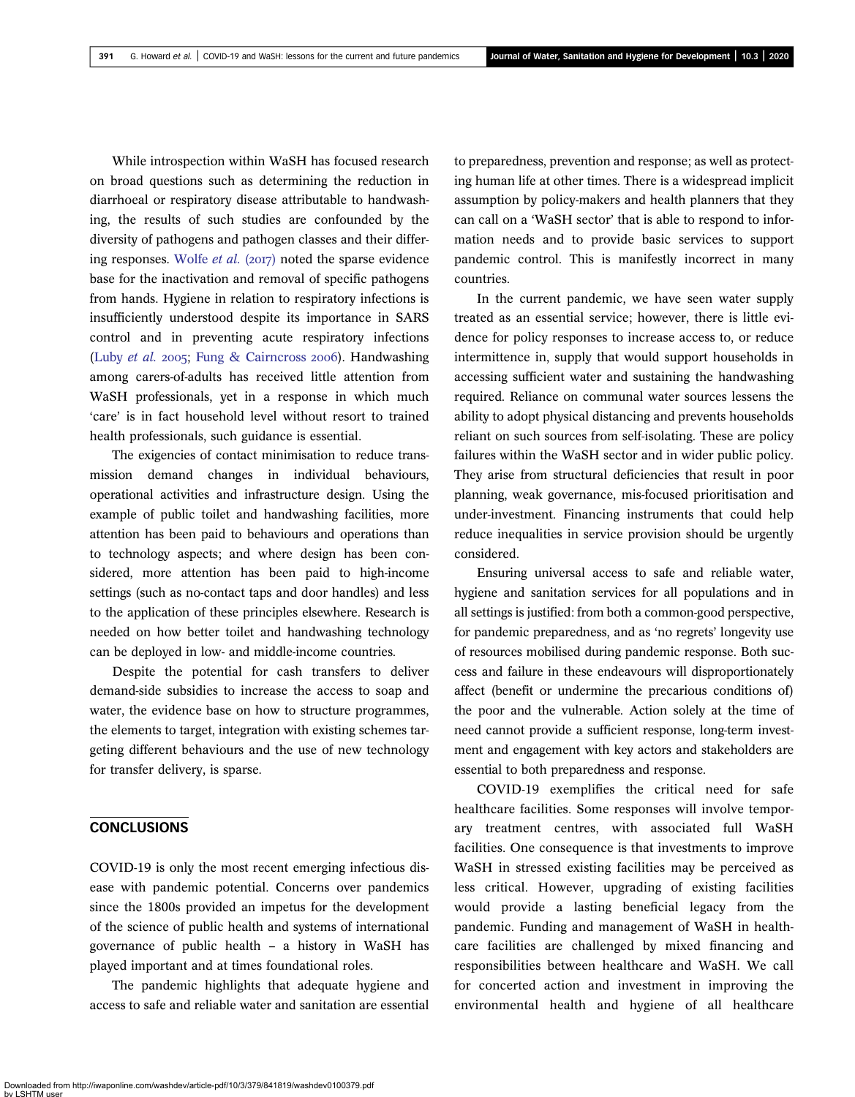While introspection within WaSH has focused research on broad questions such as determining the reduction in diarrhoeal or respiratory disease attributable to handwashing, the results of such studies are confounded by the diversity of pathogens and pathogen classes and their differ-ing responses. [Wolfe](#page-17-0) et al.  $(2017)$  noted the sparse evidence base for the inactivation and removal of specific pathogens from hands. Hygiene in relation to respiratory infections is insufficiently understood despite its importance in SARS control and in preventing acute respiratory infections [\(Luby](#page-15-0) et al. 2005; [Fung & Cairncross](#page-14-0) 2006). Handwashing among carers-of-adults has received little attention from WaSH professionals, yet in a response in which much 'care' is in fact household level without resort to trained health professionals, such guidance is essential.

The exigencies of contact minimisation to reduce transmission demand changes in individual behaviours, operational activities and infrastructure design. Using the example of public toilet and handwashing facilities, more attention has been paid to behaviours and operations than to technology aspects; and where design has been considered, more attention has been paid to high-income settings (such as no-contact taps and door handles) and less to the application of these principles elsewhere. Research is needed on how better toilet and handwashing technology can be deployed in low- and middle-income countries.

Despite the potential for cash transfers to deliver demand-side subsidies to increase the access to soap and water, the evidence base on how to structure programmes, the elements to target, integration with existing schemes targeting different behaviours and the use of new technology for transfer delivery, is sparse.

## **CONCLUSIONS**

COVID-19 is only the most recent emerging infectious disease with pandemic potential. Concerns over pandemics since the 1800s provided an impetus for the development of the science of public health and systems of international governance of public health – a history in WaSH has played important and at times foundational roles.

The pandemic highlights that adequate hygiene and access to safe and reliable water and sanitation are essential

to preparedness, prevention and response; as well as protecting human life at other times. There is a widespread implicit assumption by policy-makers and health planners that they can call on a 'WaSH sector' that is able to respond to information needs and to provide basic services to support pandemic control. This is manifestly incorrect in many countries.

In the current pandemic, we have seen water supply treated as an essential service; however, there is little evidence for policy responses to increase access to, or reduce intermittence in, supply that would support households in accessing sufficient water and sustaining the handwashing required. Reliance on communal water sources lessens the ability to adopt physical distancing and prevents households reliant on such sources from self-isolating. These are policy failures within the WaSH sector and in wider public policy. They arise from structural deficiencies that result in poor planning, weak governance, mis-focused prioritisation and under-investment. Financing instruments that could help reduce inequalities in service provision should be urgently considered.

Ensuring universal access to safe and reliable water, hygiene and sanitation services for all populations and in all settings is justified: from both a common-good perspective, for pandemic preparedness, and as 'no regrets' longevity use of resources mobilised during pandemic response. Both success and failure in these endeavours will disproportionately affect (benefit or undermine the precarious conditions of) the poor and the vulnerable. Action solely at the time of need cannot provide a sufficient response, long-term investment and engagement with key actors and stakeholders are essential to both preparedness and response.

COVID-19 exemplifies the critical need for safe healthcare facilities. Some responses will involve temporary treatment centres, with associated full WaSH facilities. One consequence is that investments to improve WaSH in stressed existing facilities may be perceived as less critical. However, upgrading of existing facilities would provide a lasting beneficial legacy from the pandemic. Funding and management of WaSH in healthcare facilities are challenged by mixed financing and responsibilities between healthcare and WaSH. We call for concerted action and investment in improving the environmental health and hygiene of all healthcare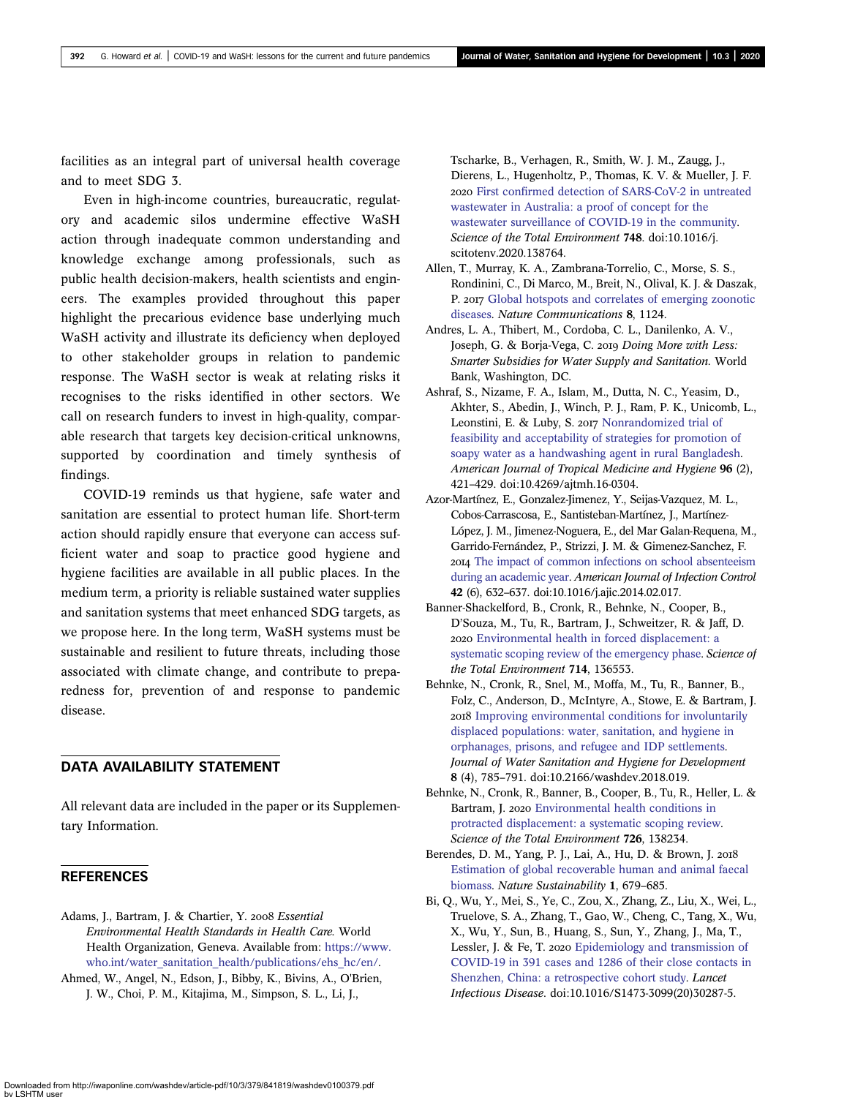<span id="page-13-0"></span>facilities as an integral part of universal health coverage and to meet SDG 3.

Even in high-income countries, bureaucratic, regulatory and academic silos undermine effective WaSH action through inadequate common understanding and knowledge exchange among professionals, such as public health decision-makers, health scientists and engineers. The examples provided throughout this paper highlight the precarious evidence base underlying much WaSH activity and illustrate its deficiency when deployed to other stakeholder groups in relation to pandemic response. The WaSH sector is weak at relating risks it recognises to the risks identified in other sectors. We call on research funders to invest in high-quality, comparable research that targets key decision-critical unknowns, supported by coordination and timely synthesis of findings.

COVID-19 reminds us that hygiene, safe water and sanitation are essential to protect human life. Short-term action should rapidly ensure that everyone can access sufficient water and soap to practice good hygiene and hygiene facilities are available in all public places. In the medium term, a priority is reliable sustained water supplies and sanitation systems that meet enhanced SDG targets, as we propose here. In the long term, WaSH systems must be sustainable and resilient to future threats, including those associated with climate change, and contribute to preparedness for, prevention of and response to pandemic disease.

## DATA AVAILABILITY STATEMENT

All relevant data are included in the paper or its Supplementary Information.

## **REFERENCES**

- Adams, J., Bartram, J. & Chartier, Y. 2008 Essential Environmental Health Standards in Health Care. World Health Organization, Geneva. Available from: [https://www.](https://www.who.int/water_sanitation_health/publications/ehs_hc/en/) [who.int/water\\_sanitation\\_health/publications/ehs\\_hc/en/.](https://www.who.int/water_sanitation_health/publications/ehs_hc/en/)
- Ahmed, W., Angel, N., Edson, J., Bibby, K., Bivins, A., O'Brien, J. W., Choi, P. M., Kitajima, M., Simpson, S. L., Li, J.,

Tscharke, B., Verhagen, R., Smith, W. J. M., Zaugg, J., Dierens, L., Hugenholtz, P., Thomas, K. V. & Mueller, J. F. 2020 First confi[rmed detection of SARS-CoV-2 in untreated](http://dx.doi.org/10.1016/j.scitotenv.2020.138764) [wastewater in Australia: a proof of concept for the](http://dx.doi.org/10.1016/j.scitotenv.2020.138764) [wastewater surveillance of COVID-19 in the community.](http://dx.doi.org/10.1016/j.scitotenv.2020.138764) Science of the Total Environment 748. doi:10.1016/j. scitotenv.2020.138764.

- Allen, T., Murray, K. A., Zambrana-Torrelio, C., Morse, S. S., Rondinini, C., Di Marco, M., Breit, N., Olival, K. J. & Daszak, P. 2017 [Global hotspots and correlates of emerging zoonotic](http://dx.doi.org/10.1038/s41467-017-00923-8) [diseases](http://dx.doi.org/10.1038/s41467-017-00923-8). Nature Communications 8, 1124.
- Andres, L. A., Thibert, M., Cordoba, C. L., Danilenko, A. V., Joseph, G. & Borja-Vega, C. 2019 Doing More with Less: Smarter Subsidies for Water Supply and Sanitation. World Bank, Washington, DC.
- Ashraf, S., Nizame, F. A., Islam, M., Dutta, N. C., Yeasim, D., Akhter, S., Abedin, J., Winch, P. J., Ram, P. K., Unicomb, L., Leonstini, E. & Luby, S. 2017 [Nonrandomized trial of](http://dx.doi.org/10.4269/ajtmh.16-0304) [feasibility and acceptability of strategies for promotion of](http://dx.doi.org/10.4269/ajtmh.16-0304) [soapy water as a handwashing agent in rural Bangladesh.](http://dx.doi.org/10.4269/ajtmh.16-0304) American Journal of Tropical Medicine and Hygiene 96 (2), 421–429. doi:10.4269/ajtmh.16-0304.
- Azor-Martínez, E., Gonzalez-Jimenez, Y., Seijas-Vazquez, M. L., Cobos-Carrascosa, E., Santisteban-Martínez, J., Martínez-López, J. M., Jimenez-Noguera, E., del Mar Galan-Requena, M., Garrido-Fernández, P., Strizzi, J. M. & Gimenez-Sanchez, F. [The impact of common infections on school absenteeism](http://dx.doi.org/10.1016/j.ajic.2014.02.017) [during an academic year.](http://dx.doi.org/10.1016/j.ajic.2014.02.017) American Journal of Infection Control 42 (6), 632–637. doi:10.1016/j.ajic.2014.02.017.
- Banner-Shackelford, B., Cronk, R., Behnke, N., Cooper, B., D'Souza, M., Tu, R., Bartram, J., Schweitzer, R. & Jaff, D. [Environmental health in forced displacement: a](http://dx.doi.org/10.1016/j.scitotenv.2020.136553) [systematic scoping review of the emergency phase.](http://dx.doi.org/10.1016/j.scitotenv.2020.136553) Science of the Total Environment 714, 136553.
- Behnke, N., Cronk, R., Snel, M., Moffa, M., Tu, R., Banner, B., Folz, C., Anderson, D., McIntyre, A., Stowe, E. & Bartram, J. 2018 [Improving environmental conditions for involuntarily](http://dx.doi.org/10.2166/washdev.2018.019) [displaced populations: water, sanitation, and hygiene in](http://dx.doi.org/10.2166/washdev.2018.019) [orphanages, prisons, and refugee and IDP settlements.](http://dx.doi.org/10.2166/washdev.2018.019) Journal of Water Sanitation and Hygiene for Development 8 (4), 785–791. doi:10.2166/washdev.2018.019.
- Behnke, N., Cronk, R., Banner, B., Cooper, B., Tu, R., Heller, L. & Bartram, J. 2020 [Environmental health conditions in](http://dx.doi.org/10.1016/j.scitotenv.2020.138234) [protracted displacement: a systematic scoping review.](http://dx.doi.org/10.1016/j.scitotenv.2020.138234) Science of the Total Environment 726, 138234.
- Berendes, D. M., Yang, P. J., Lai, A., Hu, D. & Brown, J. [Estimation of global recoverable human and animal faecal](http://dx.doi.org/10.1038/s41893-018-0167-0) [biomass.](http://dx.doi.org/10.1038/s41893-018-0167-0) Nature Sustainability 1, 679–685.
- Bi, Q., Wu, Y., Mei, S., Ye, C., Zou, X., Zhang, Z., Liu, X., Wei, L., Truelove, S. A., Zhang, T., Gao, W., Cheng, C., Tang, X., Wu, X., Wu, Y., Sun, B., Huang, S., Sun, Y., Zhang, J., Ma, T., Lessler, J. & Fe, T. 2020 [Epidemiology and transmission of](http://dx.doi.org/10.1016/S1473-3099(20)30287-5) [COVID-19 in 391 cases and 1286 of their close contacts in](http://dx.doi.org/10.1016/S1473-3099(20)30287-5) [Shenzhen, China: a retrospective cohort study](http://dx.doi.org/10.1016/S1473-3099(20)30287-5). Lancet Infectious Disease. doi:10.1016/S1473-3099(20)30287-5.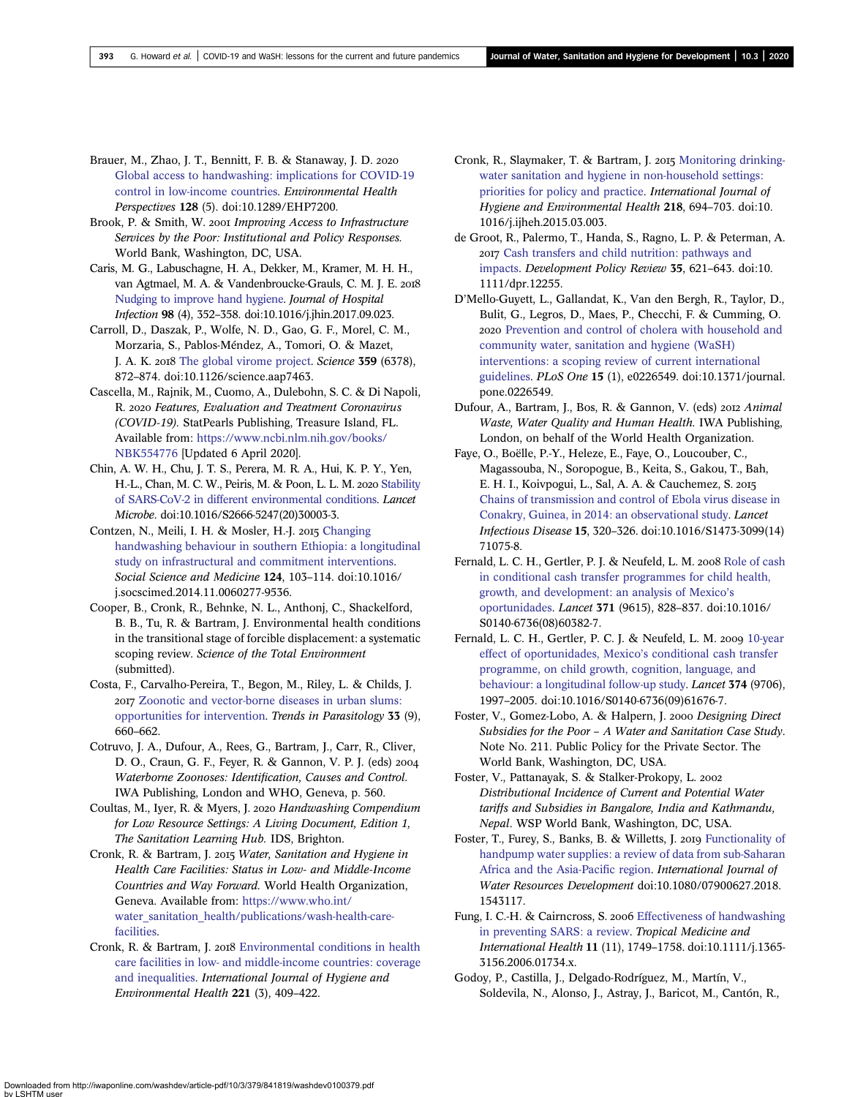- <span id="page-14-0"></span>Brauer, M., Zhao, J. T., Bennitt, F. B. & Stanaway, J. D. [Global access to handwashing: implications for COVID-19](http://dx.doi.org/10.1289/EHP7200) [control in low-income countries.](http://dx.doi.org/10.1289/EHP7200) Environmental Health Perspectives 128 (5). doi:10.1289/EHP7200.
- Brook, P. & Smith, W. 2001 Improving Access to Infrastructure Services by the Poor: Institutional and Policy Responses. World Bank, Washington, DC, USA.
- Caris, M. G., Labuschagne, H. A., Dekker, M., Kramer, M. H. H., van Agtmael, M. A. & Vandenbroucke-Grauls, C. M. J. E. [Nudging to improve hand hygiene](http://dx.doi.org/10.1016/j.jhin.2017.09.023). Journal of Hospital Infection 98 (4), 352–358. doi:10.1016/j.jhin.2017.09.023.
- Carroll, D., Daszak, P., Wolfe, N. D., Gao, G. F., Morel, C. M., Morzaria, S., Pablos-Méndez, A., Tomori, O. & Mazet, J. A. K. 2018 [The global virome project.](http://dx.doi.org/10.1126/science.aap7463) Science 359 (6378), 872–874. doi:10.1126/science.aap7463.
- Cascella, M., Rajnik, M., Cuomo, A., Dulebohn, S. C. & Di Napoli, R. 2020 Features, Evaluation and Treatment Coronavirus (COVID-19). StatPearls Publishing, Treasure Island, FL. Available from: [https://www.ncbi.nlm.nih.gov/books/](https://www.ncbi.nlm.nih.gov/books/NBK554776) [NBK554776](https://www.ncbi.nlm.nih.gov/books/NBK554776) [Updated 6 April 2020].
- Chin, A. W. H., Chu, J. T. S., Perera, M. R. A., Hui, K. P. Y., Yen, H.-L., Chan, M. C. W., Peiris, M. & Poon, L. L. M. 2020 [Stability](http://dx.doi.org/10.1016/S2666-5247(20)30003-3) [of SARS-CoV-2 in different environmental conditions](http://dx.doi.org/10.1016/S2666-5247(20)30003-3). Lancet Microbe. doi:10.1016/S2666-5247(20)30003-3.
- Contzen, N., Meili, I. H. & Mosler, H.-J. 2015 [Changing](http://dx.doi.org/10.1016/j.socscimed.2014.11.006) [handwashing behaviour in southern Ethiopia: a longitudinal](http://dx.doi.org/10.1016/j.socscimed.2014.11.006) [study on infrastructural and commitment interventions.](http://dx.doi.org/10.1016/j.socscimed.2014.11.006) Social Science and Medicine 124, 103–114. doi:10.1016/ j.socscimed.2014.11.0060277-9536.
- Cooper, B., Cronk, R., Behnke, N. L., Anthonj, C., Shackelford, B. B., Tu, R. & Bartram, J. Environmental health conditions in the transitional stage of forcible displacement: a systematic scoping review. Science of the Total Environment (submitted).
- Costa, F., Carvalho-Pereira, T., Begon, M., Riley, L. & Childs, J. [Zoonotic and vector-borne diseases in urban slums:](http://dx.doi.org/10.1016/j.pt.2017.05.010) [opportunities for intervention](http://dx.doi.org/10.1016/j.pt.2017.05.010). Trends in Parasitology 33 (9), 660–662.
- Cotruvo, J. A., Dufour, A., Rees, G., Bartram, J., Carr, R., Cliver, D. O., Craun, G. F., Feyer, R. & Gannon, V. P. J. (eds) Waterborne Zoonoses: Identification, Causes and Control. IWA Publishing, London and WHO, Geneva, p. 560.
- Coultas, M., Iyer, R. & Myers, J. 2020 Handwashing Compendium for Low Resource Settings: A Living Document, Edition 1, The Sanitation Learning Hub. IDS, Brighton.
- Cronk, R. & Bartram, J. 2015 Water, Sanitation and Hygiene in Health Care Facilities: Status in Low- and Middle-Income Countries and Way Forward. World Health Organization, Geneva. Available from: [https://www.who.int/](https://www.who.int/water_sanitation_health/publications/wash-health-care-facilities) [water\\_sanitation\\_health/publications/wash-health-care](https://www.who.int/water_sanitation_health/publications/wash-health-care-facilities)[facilities.](https://www.who.int/water_sanitation_health/publications/wash-health-care-facilities)
- Cronk, R. & Bartram, J. 2018 [Environmental conditions in health](http://dx.doi.org/10.1016/j.ijheh.2018.01.004) [care facilities in low- and middle-income countries: coverage](http://dx.doi.org/10.1016/j.ijheh.2018.01.004) [and inequalities](http://dx.doi.org/10.1016/j.ijheh.2018.01.004). International Journal of Hygiene and Environmental Health 221 (3), 409–422.
- Cronk, R., Slaymaker, T. & Bartram, J. 2015 [Monitoring drinking](http://dx.doi.org/10.1016/j.ijheh.2015.03.003)[water sanitation and hygiene in non-household settings:](http://dx.doi.org/10.1016/j.ijheh.2015.03.003) [priorities for policy and practice.](http://dx.doi.org/10.1016/j.ijheh.2015.03.003) International Journal of Hygiene and Environmental Health 218, 694–703. doi:10. 1016/j.ijheh.2015.03.003.
- de Groot, R., Palermo, T., Handa, S., Ragno, L. P. & Peterman, A. [Cash transfers and child nutrition: pathways and](http://dx.doi.org/10.1111/dpr.12255) [impacts.](http://dx.doi.org/10.1111/dpr.12255) Development Policy Review 35, 621–643. doi:10. 1111/dpr.12255.
- D'Mello-Guyett, L., Gallandat, K., Van den Bergh, R., Taylor, D., Bulit, G., Legros, D., Maes, P., Checchi, F. & Cumming, O. 2020 [Prevention and control of cholera with household and](http://dx.doi.org/10.1371/journal.pone.0226549) [community water, sanitation and hygiene \(WaSH\)](http://dx.doi.org/10.1371/journal.pone.0226549) [interventions: a scoping review of current international](http://dx.doi.org/10.1371/journal.pone.0226549) [guidelines](http://dx.doi.org/10.1371/journal.pone.0226549). PLoS One 15 (1), e0226549. doi:10.1371/journal. pone.0226549.
- Dufour, A., Bartram, J., Bos, R. & Gannon, V. (eds) 2012 Animal Waste, Water Quality and Human Health. IWA Publishing, London, on behalf of the World Health Organization.
- Faye, O., Boëlle, P.-Y., Heleze, E., Faye, O., Loucouber, C., Magassouba, N., Soropogue, B., Keita, S., Gakou, T., Bah, E. H. I., Koivpogui, L., Sal, A. A. & Cauchemez, S. [Chains of transmission and control of Ebola virus disease in](http://dx.doi.org/10.1016/S1473-3099(14)71075-8) [Conakry, Guinea, in 2014: an observational study](http://dx.doi.org/10.1016/S1473-3099(14)71075-8). Lancet Infectious Disease 15, 320–326. doi:10.1016/S1473-3099(14) 71075-8.
- Fernald, L. C. H., Gertler, P. J. & Neufeld, L. M. 2008 [Role of cash](http://dx.doi.org/10.1016/S0140-6736(08)60382-7) [in conditional cash transfer programmes for child health,](http://dx.doi.org/10.1016/S0140-6736(08)60382-7) [growth, and development: an analysis of Mexico](http://dx.doi.org/10.1016/S0140-6736(08)60382-7)'s [oportunidades.](http://dx.doi.org/10.1016/S0140-6736(08)60382-7) Lancet 371 (9615), 828–837. doi:10.1016/ S0140-6736(08)60382-7.
- Fernald, L. C. H., Gertler, P. C. J. & Neufeld, L. M. 2009 [10-year](http://dx.doi.org/10.1016/S0140-6736(09)61676-7) [effect of oportunidades, Mexico](http://dx.doi.org/10.1016/S0140-6736(09)61676-7)'s conditional cash transfer [programme, on child growth, cognition, language, and](http://dx.doi.org/10.1016/S0140-6736(09)61676-7) [behaviour: a longitudinal follow-up study.](http://dx.doi.org/10.1016/S0140-6736(09)61676-7) Lancet 374 (9706), 1997–2005. doi:10.1016/S0140-6736(09)61676-7.
- Foster, V., Gomez-Lobo, A. & Halpern, J. 2000 Designing Direct Subsidies for the Poor – A Water and Sanitation Case Study. Note No. 211. Public Policy for the Private Sector. The World Bank, Washington, DC, USA.
- Foster, V., Pattanayak, S. & Stalker-Prokopy, L. Distributional Incidence of Current and Potential Water tariffs and Subsidies in Bangalore, India and Kathmandu, Nepal. WSP World Bank, Washington, DC, USA.
- Foster, T., Furey, S., Banks, B. & Willetts, J. 2019 [Functionality of](http://dx.doi.org/10.1080/07900627.2018.1543117) [handpump water supplies: a review of data from sub-Saharan](http://dx.doi.org/10.1080/07900627.2018.1543117) [Africa and the Asia-Paci](http://dx.doi.org/10.1080/07900627.2018.1543117)fic region. International Journal of Water Resources Development doi:10.1080/07900627.2018. 1543117.
- Fung, I. C.-H. & Cairncross, S. 2006 [Effectiveness of handwashing](http://dx.doi.org/10.1111/j.1365-3156.2006.01734.x) [in preventing SARS: a review.](http://dx.doi.org/10.1111/j.1365-3156.2006.01734.x) Tropical Medicine and International Health 11 (11), 1749–1758. doi:10.1111/j.1365- 3156.2006.01734.x.
- Godoy, P., Castilla, J., Delgado-Rodríguez, M., Martín, V., Soldevila, N., Alonso, J., Astray, J., Baricot, M., Cantón, R.,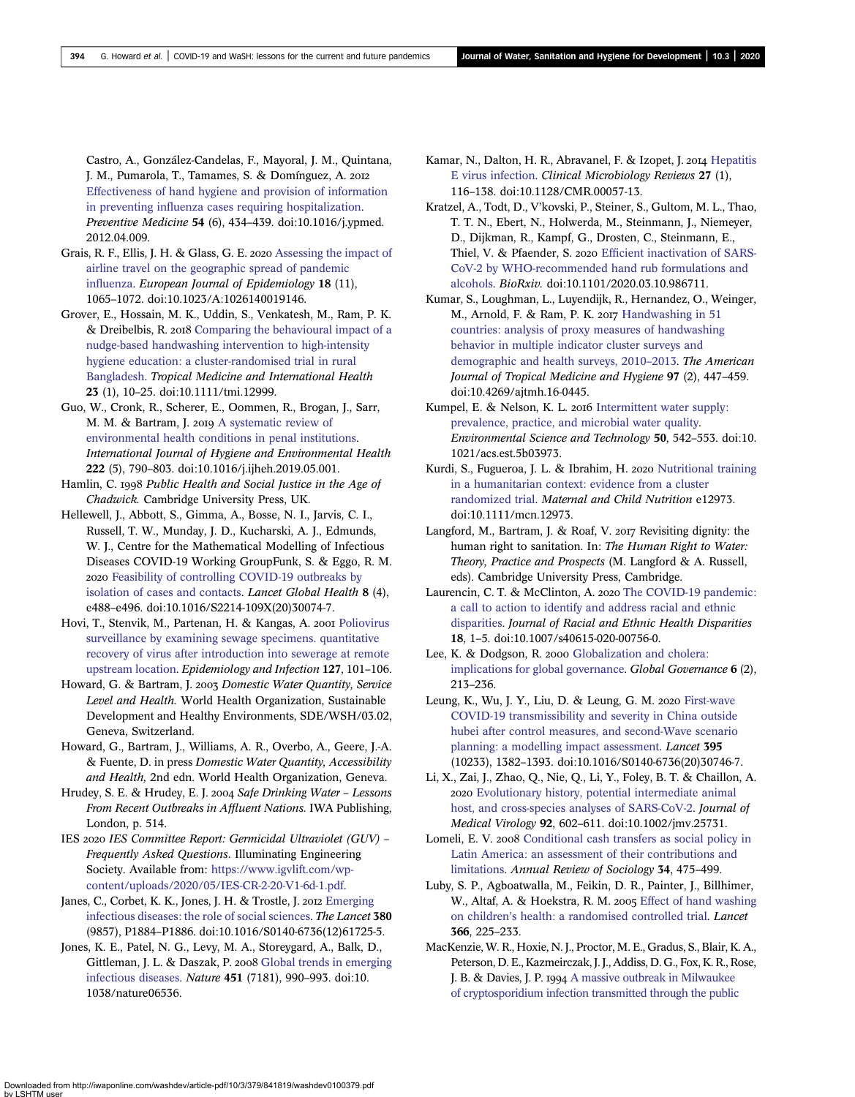<span id="page-15-0"></span>Castro, A., González-Candelas, F., Mayoral, J. M., Quintana, J. M., Pumarola, T., Tamames, S. & Domínguez, A. [Effectiveness of hand hygiene and provision of information](http://dx.doi.org/10.1016/j.ypmed.2012.04.009) in preventing infl[uenza cases requiring hospitalization.](http://dx.doi.org/10.1016/j.ypmed.2012.04.009) Preventive Medicine 54 (6), 434–439. doi:10.1016/j.ypmed. 2012.04.009.

- Grais, R. F., Ellis, J. H. & Glass, G. E. 2020 [Assessing the impact of](http://dx.doi.org/10.1023/A:1026140019146) [airline travel on the geographic spread of pandemic](http://dx.doi.org/10.1023/A:1026140019146) infl[uenza.](http://dx.doi.org/10.1023/A:1026140019146) European Journal of Epidemiology 18 (11), 1065–1072. doi:10.1023/A:1026140019146.
- Grover, E., Hossain, M. K., Uddin, S., Venkatesh, M., Ram, P. K. & Dreibelbis, R. 2018 [Comparing the behavioural impact of a](http://dx.doi.org/10.1111/tmi.12999) [nudge-based handwashing intervention to high-intensity](http://dx.doi.org/10.1111/tmi.12999) [hygiene education: a cluster-randomised trial in rural](http://dx.doi.org/10.1111/tmi.12999) [Bangladesh](http://dx.doi.org/10.1111/tmi.12999). Tropical Medicine and International Health 23 (1), 10–25. doi:10.1111/tmi.12999.
- Guo, W., Cronk, R., Scherer, E., Oommen, R., Brogan, J., Sarr, M. M. & Bartram, J. 2019 [A systematic review of](http://dx.doi.org/10.1016/j.ijheh.2019.05.001) [environmental health conditions in penal institutions](http://dx.doi.org/10.1016/j.ijheh.2019.05.001). International Journal of Hygiene and Environmental Health 222 (5), 790–803. doi:10.1016/j.ijheh.2019.05.001.
- Hamlin, C. 1998 Public Health and Social Justice in the Age of Chadwick. Cambridge University Press, UK.
- Hellewell, J., Abbott, S., Gimma, A., Bosse, N. I., Jarvis, C. I., Russell, T. W., Munday, J. D., Kucharski, A. J., Edmunds, W. J., Centre for the Mathematical Modelling of Infectious Diseases COVID-19 Working GroupFunk, S. & Eggo, R. M. 2020 [Feasibility of controlling COVID-19 outbreaks by](http://dx.doi.org/10.1016/S2214-109X(20)30074-7) [isolation of cases and contacts](http://dx.doi.org/10.1016/S2214-109X(20)30074-7). *Lancet Global Health* 8 (4), e488–e496. doi:10.1016/S2214-109X(20)30074-7.
- Hovi, T., Stenvik, M., Partenan, H. & Kangas, A. 2001 [Poliovirus](http://dx.doi.org/10.1017/S0950268801005787) [surveillance by examining sewage specimens. quantitative](http://dx.doi.org/10.1017/S0950268801005787) [recovery of virus after introduction into sewerage at remote](http://dx.doi.org/10.1017/S0950268801005787) [upstream location.](http://dx.doi.org/10.1017/S0950268801005787) Epidemiology and Infection 127, 101–106.
- Howard, G. & Bartram, J. 2003 Domestic Water Quantity, Service Level and Health. World Health Organization, Sustainable Development and Healthy Environments, SDE/WSH/03.02, Geneva, Switzerland.
- Howard, G., Bartram, J., Williams, A. R., Overbo, A., Geere, J.-A. & Fuente, D. in press Domestic Water Quantity, Accessibility and Health, 2nd edn. World Health Organization, Geneva.
- Hrudey, S. E. & Hrudey, E. J. 2004 Safe Drinking Water Lessons From Recent Outbreaks in Affluent Nations. IWA Publishing, London, p. 514.
- IES 2020 IES Committee Report: Germicidal Ultraviolet (GUV) -Frequently Asked Questions. Illuminating Engineering Society. Available from: [https://www.igvlift.com/wp](https://www.igvlift.com/wp-content/uploads/2020/05/IES-CR-2-20-V1-6d-1.pdf)[content/uploads/2020/05/IES-CR-2-20-V1-6d-1.pdf](https://www.igvlift.com/wp-content/uploads/2020/05/IES-CR-2-20-V1-6d-1.pdf).
- Janes, C., Corbet, K. K., Jones, J. H. & Trostle, J. 2012 [Emerging](http://dx.doi.org/10.1016/S0140-6736(12)61725-5) [infectious diseases: the role of social sciences](http://dx.doi.org/10.1016/S0140-6736(12)61725-5). The Lancet 380 (9857), P1884–P1886. doi:10.1016/S0140-6736(12)61725-5.
- Jones, K. E., Patel, N. G., Levy, M. A., Storeygard, A., Balk, D., Gittleman, J. L. & Daszak, P. 2008 [Global trends in emerging](http://dx.doi.org/10.1038/nature06536) [infectious diseases](http://dx.doi.org/10.1038/nature06536). Nature 451 (7181), 990–993. doi:10. 1038/nature06536.
- Kamar, N., Dalton, H. R., Abravanel, F. & Izopet, J. 2014 [Hepatitis](http://dx.doi.org/10.1128/CMR.00057-13) [E virus infection.](http://dx.doi.org/10.1128/CMR.00057-13) Clinical Microbiology Reviews 27 (1), 116–138. doi:10.1128/CMR.00057-13.
- Kratzel, A., Todt, D., V'kovski, P., Steiner, S., Gultom, M. L., Thao, T. T. N., Ebert, N., Holwerda, M., Steinmann, J., Niemeyer, D., Dijkman, R., Kampf, G., Drosten, C., Steinmann, E., Thiel, V. & Pfaender, S. 2020 Effi[cient inactivation of SARS-](http://dx.doi.org/10.1101/2020.03.10.986711)[CoV-2 by WHO-recommended hand rub formulations and](http://dx.doi.org/10.1101/2020.03.10.986711) [alcohols](http://dx.doi.org/10.1101/2020.03.10.986711). BioRxiv. doi:10.1101/2020.03.10.986711.
- Kumar, S., Loughman, L., Luyendijk, R., Hernandez, O., Weinger, M., Arnold, F. & Ram, P. K. 2017 [Handwashing in 51](http://dx.doi.org/10.4269/ajtmh.16-0445) [countries: analysis of proxy measures of handwashing](http://dx.doi.org/10.4269/ajtmh.16-0445) [behavior in multiple indicator cluster surveys and](http://dx.doi.org/10.4269/ajtmh.16-0445) [demographic and health surveys, 2010](http://dx.doi.org/10.4269/ajtmh.16-0445)–2013. The American Journal of Tropical Medicine and Hygiene 97 (2), 447–459. doi:10.4269/ajtmh.16-0445.
- Kumpel, E. & Nelson, K. L. 2016 [Intermittent water supply:](http://dx.doi.org/10.1021/acs.est.5b03973) [prevalence, practice, and microbial water quality](http://dx.doi.org/10.1021/acs.est.5b03973). Environmental Science and Technology 50, 542–553. doi:10. 1021/acs.est.5b03973.
- Kurdi, S., Fugueroa, J. L. & Ibrahim, H. 2020 [Nutritional training](http://dx.doi.org/10.1111/mcn.12973) [in a humanitarian context: evidence from a cluster](http://dx.doi.org/10.1111/mcn.12973) [randomized trial.](http://dx.doi.org/10.1111/mcn.12973) Maternal and Child Nutrition e12973. doi:10.1111/mcn.12973.
- Langford, M., Bartram, J. & Roaf, V. 2017 Revisiting dignity: the human right to sanitation. In: The Human Right to Water: Theory, Practice and Prospects (M. Langford & A. Russell, eds). Cambridge University Press, Cambridge.
- Laurencin, C. T. & McClinton, A. 2020 [The COVID-19 pandemic:](http://dx.doi.org/10.1007/s40615-020-00756-0) [a call to action to identify and address racial and ethnic](http://dx.doi.org/10.1007/s40615-020-00756-0) [disparities](http://dx.doi.org/10.1007/s40615-020-00756-0). Journal of Racial and Ethnic Health Disparities 18, 1–5. doi:10.1007/s40615-020-00756-0.
- Lee, K. & Dodgson, R. 2000 [Globalization and cholera:](http://dx.doi.org/10.1163/19426720-00602004) [implications for global governance](http://dx.doi.org/10.1163/19426720-00602004). Global Governance 6 (2), 213–236.
- Leung, K., Wu, J. Y., Liu, D. & Leung, G. M. 2020 [First-wave](http://dx.doi.org/10.1016/S0140-6736(20)30746-7) [COVID-19 transmissibility and severity in China outside](http://dx.doi.org/10.1016/S0140-6736(20)30746-7) [hubei after control measures, and second-Wave scenario](http://dx.doi.org/10.1016/S0140-6736(20)30746-7) [planning: a modelling impact assessment](http://dx.doi.org/10.1016/S0140-6736(20)30746-7). Lancet 395 (10233), 1382–1393. doi:10.1016/S0140-6736(20)30746-7.
- Li, X., Zai, J., Zhao, Q., Nie, Q., Li, Y., Foley, B. T. & Chaillon, A. [Evolutionary history, potential intermediate animal](http://dx.doi.org/10.1002/jmv.25731) [host, and cross-species analyses of SARS-CoV-2.](http://dx.doi.org/10.1002/jmv.25731) Journal of Medical Virology 92, 602–611. doi:10.1002/jmv.25731.
- Lomeli, E. V. 2008 [Conditional cash transfers as social policy in](http://dx.doi.org/10.1146/annurev.soc.34.040507.134537) [Latin America: an assessment of their contributions and](http://dx.doi.org/10.1146/annurev.soc.34.040507.134537) [limitations.](http://dx.doi.org/10.1146/annurev.soc.34.040507.134537) Annual Review of Sociology 34, 475–499.
- Luby, S. P., Agboatwalla, M., Feikin, D. R., Painter, J., Billhimer, W., Altaf, A. & Hoekstra, R. M. 2005 [Effect of hand washing](http://dx.doi.org/10.1016/S0140-6736(05)66912-7) on children'[s health: a randomised controlled trial](http://dx.doi.org/10.1016/S0140-6736(05)66912-7). Lancet 366, 225–233.
- MacKenzie, W. R., Hoxie, N. J., Proctor, M. E., Gradus, S., Blair, K. A., Peterson, D. E., Kazmeirczak, J. J., Addiss, D. G., Fox, K. R., Rose, J. B. & Davies, J. P. 1994 [A massive outbreak in Milwaukee](http://dx.doi.org/10.1056/NEJM199407213310304) [of cryptosporidium infection transmitted through the public](http://dx.doi.org/10.1056/NEJM199407213310304)

Downloaded from http://iwaponline.com/washdev/article-pdf/10/3/379/841819/washdev0100379.pdf by LSHTM user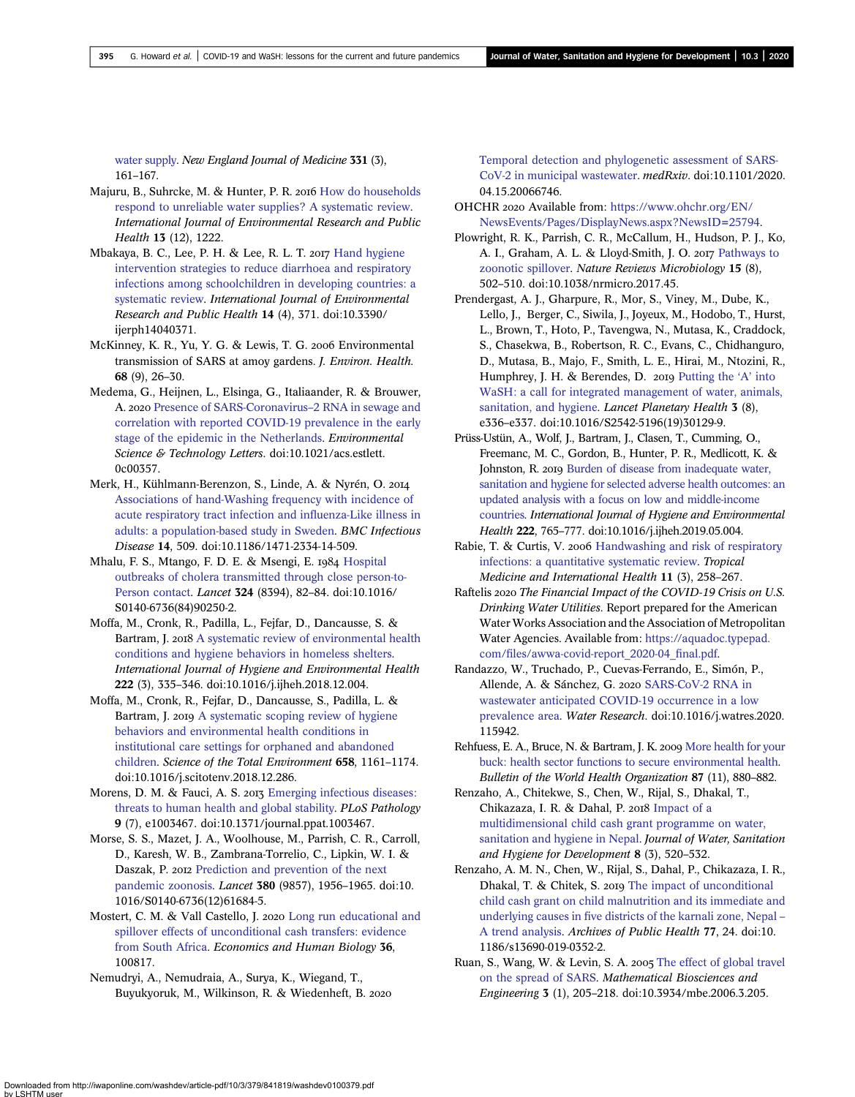<span id="page-16-0"></span>[water supply.](http://dx.doi.org/10.1056/NEJM199407213310304) New England Journal of Medicine 331 (3),

Majuru, B., Suhrcke, M. & Hunter, P. R. 2016 [How do households](http://dx.doi.org/10.3390/ijerph13121222) [respond to unreliable water supplies? A systematic review.](http://dx.doi.org/10.3390/ijerph13121222) International Journal of Environmental Research and Public Health 13 (12), 1222.

161–167.

- Mbakaya, B. C., Lee, P. H. & Lee, R. L. T. 2017 [Hand hygiene](http://dx.doi.org/10.3390/ijerph14040371) [intervention strategies to reduce diarrhoea and respiratory](http://dx.doi.org/10.3390/ijerph14040371) [infections among schoolchildren in developing countries: a](http://dx.doi.org/10.3390/ijerph14040371) [systematic review](http://dx.doi.org/10.3390/ijerph14040371). International Journal of Environmental Research and Public Health 14 (4), 371. doi:10.3390/ ijerph14040371.
- McKinney, K. R., Yu, Y. G. & Lewis, T. G. 2006 Environmental transmission of SARS at amoy gardens. J. Environ. Health. 68 (9), 26–30.
- Medema, G., Heijnen, L., Elsinga, G., Italiaander, R. & Brouwer, A. 2020 [Presence of SARS-Coronavirus](http://dx.doi.org/10.1021/acs.estlett.0c00357)–2 RNA in sewage and [correlation with reported COVID-19 prevalence in the early](http://dx.doi.org/10.1021/acs.estlett.0c00357) [stage of the epidemic in the Netherlands.](http://dx.doi.org/10.1021/acs.estlett.0c00357) Environmental Science & Technology Letters. doi:10.1021/acs.estlett. 0c00357.
- Merk, H., Kühlmann-Berenzon, S., Linde, A. & Nyrén, O. [Associations of hand-Washing frequency with incidence of](http://dx.doi.org/10.1186/1471-2334-14-509) [acute respiratory tract infection and in](http://dx.doi.org/10.1186/1471-2334-14-509)fluenza-Like illness in [adults: a population-based study in Sweden](http://dx.doi.org/10.1186/1471-2334-14-509). BMC Infectious Disease 14, 509. doi:10.1186/1471-2334-14-509.
- Mhalu, F. S., Mtango, F. D. E. & Msengi, E. 1984 [Hospital](http://dx.doi.org/10.1016/S0140-6736(84)90250-2) [outbreaks of cholera transmitted through close person-to-](http://dx.doi.org/10.1016/S0140-6736(84)90250-2)[Person contact.](http://dx.doi.org/10.1016/S0140-6736(84)90250-2) Lancet 324 (8394), 82–84. doi:10.1016/ S0140-6736(84)90250-2.
- Moffa, M., Cronk, R., Padilla, L., Fejfar, D., Dancausse, S. & Bartram, J. 2018 [A systematic review of environmental health](http://dx.doi.org/10.1016/j.ijheh.2018.12.004) [conditions and hygiene behaviors in homeless shelters](http://dx.doi.org/10.1016/j.ijheh.2018.12.004). International Journal of Hygiene and Environmental Health 222 (3), 335–346. doi:10.1016/j.ijheh.2018.12.004.
- Moffa, M., Cronk, R., Fejfar, D., Dancausse, S., Padilla, L. & Bartram, J. 2019 [A systematic scoping review of hygiene](http://dx.doi.org/10.1016/j.scitotenv.2018.12.286) [behaviors and environmental health conditions in](http://dx.doi.org/10.1016/j.scitotenv.2018.12.286) [institutional care settings for orphaned and abandoned](http://dx.doi.org/10.1016/j.scitotenv.2018.12.286) [children.](http://dx.doi.org/10.1016/j.scitotenv.2018.12.286) Science of the Total Environment 658, 1161–1174. doi:10.1016/j.scitotenv.2018.12.286.
- Morens, D. M. & Fauci, A. S. 2013 [Emerging infectious diseases:](http://dx.doi.org/10.1371/journal.ppat.1003467) [threats to human health and global stability](http://dx.doi.org/10.1371/journal.ppat.1003467). PLoS Pathology 9 (7), e1003467. doi:10.1371/journal.ppat.1003467.
- Morse, S. S., Mazet, J. A., Woolhouse, M., Parrish, C. R., Carroll, D., Karesh, W. B., Zambrana-Torrelio, C., Lipkin, W. I. & Daszak, P. 2012 [Prediction and prevention of the next](http://dx.doi.org/10.1016/S0140-6736(12)61684-5) [pandemic zoonosis](http://dx.doi.org/10.1016/S0140-6736(12)61684-5). Lancet 380 (9857), 1956–1965. doi:10. 1016/S0140-6736(12)61684-5.
- Mostert, C. M. & Vall Castello, J. 2020 [Long run educational and](http://dx.doi.org/10.1016/j.ehb.2019.100817) [spillover effects of unconditional cash transfers: evidence](http://dx.doi.org/10.1016/j.ehb.2019.100817) [from South Africa.](http://dx.doi.org/10.1016/j.ehb.2019.100817) Economics and Human Biology 36, 100817.
- Nemudryi, A., Nemudraia, A., Surya, K., Wiegand, T., Buyukyoruk, M., Wilkinson, R. & Wiedenheft, B.

[Temporal detection and phylogenetic assessment of SARS-](http://dx.doi.org/10.1101/2020.04.15.20066746)[CoV-2 in municipal wastewater](http://dx.doi.org/10.1101/2020.04.15.20066746). medRxiv. doi:10.1101/2020. 04.15.20066746.

- OHCHR 2020 Available from: [https://www.ohchr.org/EN/](https://www.ohchr.org/EN/NewsEvents/Pages/DisplayNews.aspx?NewsID=25794) [NewsEvents/Pages/DisplayNews.aspx?NewsID=25794.](https://www.ohchr.org/EN/NewsEvents/Pages/DisplayNews.aspx?NewsID=25794)
- Plowright, R. K., Parrish, C. R., McCallum, H., Hudson, P. J., Ko, A. I., Graham, A. L. & Lloyd-Smith, J. O. 2017 [Pathways to](http://dx.doi.org/10.1038/nrmicro.2017.45) [zoonotic spillover.](http://dx.doi.org/10.1038/nrmicro.2017.45) Nature Reviews Microbiology 15 (8), 502–510. doi:10.1038/nrmicro.2017.45.
- Prendergast, A. J., Gharpure, R., Mor, S., Viney, M., Dube, K., Lello, J., Berger, C., Siwila, J., Joyeux, M., Hodobo, T., Hurst, L., Brown, T., Hoto, P., Tavengwa, N., Mutasa, K., Craddock, S., Chasekwa, B., Robertson, R. C., Evans, C., Chidhanguro, D., Mutasa, B., Majo, F., Smith, L. E., Hirai, M., Ntozini, R., Humphrey, J. H. & Berendes, D. 2019 [Putting the](http://dx.doi.org/10.1016/S2542-5196(19)30129-9) 'A' into [WaSH: a call for integrated management of water, animals,](http://dx.doi.org/10.1016/S2542-5196(19)30129-9) [sanitation, and hygiene.](http://dx.doi.org/10.1016/S2542-5196(19)30129-9) Lancet Planetary Health 3 (8), e336–e337. doi:10.1016/S2542-5196(19)30129-9.
- Prüss-Ustün, A., Wolf, J., Bartram, J., Clasen, T., Cumming, O., Freemanc, M. C., Gordon, B., Hunter, P. R., Medlicott, K. & Johnston, R. 2019 [Burden of disease from inadequate water,](http://dx.doi.org/10.1016/j.ijheh.2019.05.004) [sanitation and hygiene for selected adverse health outcomes: an](http://dx.doi.org/10.1016/j.ijheh.2019.05.004) [updated analysis with a focus on low and middle-income](http://dx.doi.org/10.1016/j.ijheh.2019.05.004) [countries.](http://dx.doi.org/10.1016/j.ijheh.2019.05.004) International Journal of Hygiene and Environmental Health 222, 765–777. doi:10.1016/j.ijheh.2019.05.004.
- Rabie, T. & Curtis, V. 2006 [Handwashing and risk of respiratory](http://dx.doi.org/10.1111/j.1365-3156.2006.01568.x) [infections: a quantitative systematic review](http://dx.doi.org/10.1111/j.1365-3156.2006.01568.x). Tropical Medicine and International Health 11 (3), 258–267.
- Raftelis 2020 The Financial Impact of the COVID-19 Crisis on U.S. Drinking Water Utilities. Report prepared for the American Water Works Association and the Association of Metropolitan Water Agencies. Available from: [https://aquadoc.typepad.](https://aquadoc.typepad.com/files/awwa-covid-report_2020-04_final.pdf) com/fi[les/awwa-covid-report\\_2020-04\\_](https://aquadoc.typepad.com/files/awwa-covid-report_2020-04_final.pdf)final.pdf.
- Randazzo, W., Truchado, P., Cuevas-Ferrando, E., Simón, P., Allende, A. & Sánchez, G. 2020 [SARS-CoV-2 RNA in](http://dx.doi.org/10.1016/j.watres.2020.115942) [wastewater anticipated COVID-19 occurrence in a low](http://dx.doi.org/10.1016/j.watres.2020.115942) [prevalence area](http://dx.doi.org/10.1016/j.watres.2020.115942). Water Research. doi:10.1016/j.watres.2020. 115942.
- Rehfuess, E. A., Bruce, N. & Bartram, J. K. 2009 [More health for your](http://dx.doi.org/10.2471/BLT.08.059865) [buck: health sector functions to secure environmental health.](http://dx.doi.org/10.2471/BLT.08.059865) Bulletin of the World Health Organization 87 (11), 880–882.
- Renzaho, A., Chitekwe, S., Chen, W., Rijal, S., Dhakal, T., Chikazaza, I. R. & Dahal, P. 2018 [Impact of a](http://dx.doi.org/10.2166/washdev.2018.006) [multidimensional child cash grant programme on water,](http://dx.doi.org/10.2166/washdev.2018.006) [sanitation and hygiene in Nepal.](http://dx.doi.org/10.2166/washdev.2018.006) Journal of Water, Sanitation and Hygiene for Development 8 (3), 520–532.
- Renzaho, A. M. N., Chen, W., Rijal, S., Dahal, P., Chikazaza, I. R., Dhakal, T. & Chitek, S. 2019 [The impact of unconditional](http://dx.doi.org/10.1186/s13690-019-0352-2) [child cash grant on child malnutrition and its immediate and](http://dx.doi.org/10.1186/s13690-019-0352-2) underlying causes in fi[ve districts of the karnali zone, Nepal](http://dx.doi.org/10.1186/s13690-019-0352-2) – [A trend analysis](http://dx.doi.org/10.1186/s13690-019-0352-2). Archives of Public Health 77, 24. doi:10. 1186/s13690-019-0352-2.
- Ruan, S., Wang, W. & Levin, S. A. 2005 [The effect of global travel](http://dx.doi.org/10.3934/mbe.2006.3.205) [on the spread of SARS](http://dx.doi.org/10.3934/mbe.2006.3.205). Mathematical Biosciences and Engineering 3 (1), 205–218. doi:10.3934/mbe.2006.3.205.